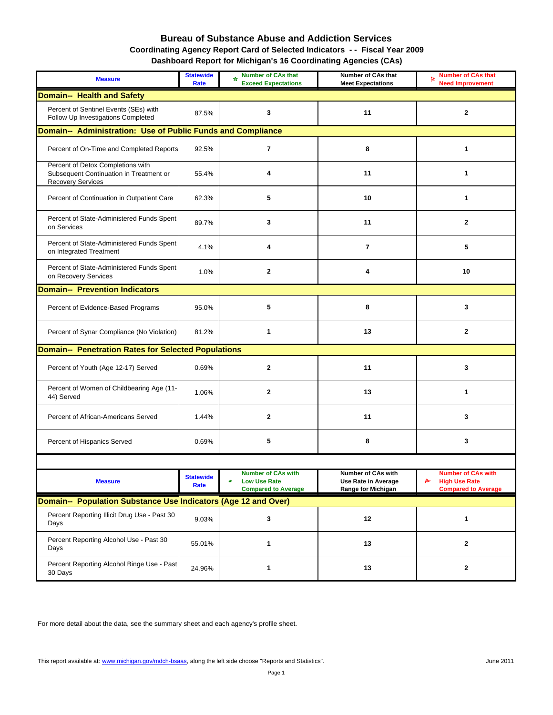## **Bureau of Substance Abuse and Addiction Services Coordinating Agency Report Card of Selected Indicators - - Fiscal Year 2009**

|  | Dashboard Report for Michigan's 16 Coordinating Agencies (CAs) |  |  |  |  |
|--|----------------------------------------------------------------|--|--|--|--|
|--|----------------------------------------------------------------|--|--|--|--|

| <b>Measure</b>                                                                                    | <b>Statewide</b><br>Rate | Number of CAs that<br>₩<br><b>Exceed Expectations</b>                               | Number of CAs that<br><b>Meet Expectations</b>                         | <b>Number of CAs that</b><br>Po<br><b>Need Improvement</b>                     |
|---------------------------------------------------------------------------------------------------|--------------------------|-------------------------------------------------------------------------------------|------------------------------------------------------------------------|--------------------------------------------------------------------------------|
| <b>Domain-- Health and Safety</b>                                                                 |                          |                                                                                     |                                                                        |                                                                                |
| Percent of Sentinel Events (SEs) with<br>Follow Up Investigations Completed                       | 87.5%                    | 3                                                                                   | 11                                                                     | $\mathbf{2}$                                                                   |
| Domain-- Administration: Use of Public Funds and Compliance                                       |                          |                                                                                     |                                                                        |                                                                                |
| Percent of On-Time and Completed Reports                                                          | 92.5%                    | $\overline{\mathbf{r}}$                                                             | 8                                                                      | 1                                                                              |
| Percent of Detox Completions with<br>Subsequent Continuation in Treatment or<br>Recovery Services | 55.4%                    | 4                                                                                   | 11                                                                     | 1                                                                              |
| Percent of Continuation in Outpatient Care                                                        | 62.3%                    | 5                                                                                   | 10                                                                     | 1                                                                              |
| Percent of State-Administered Funds Spent<br>on Services                                          | 89.7%                    | 3                                                                                   | 11                                                                     | $\mathbf{2}$                                                                   |
| Percent of State-Administered Funds Spent<br>on Integrated Treatment                              | 4.1%                     | 4                                                                                   | $\overline{7}$                                                         | 5                                                                              |
| Percent of State-Administered Funds Spent<br>on Recovery Services                                 | 1.0%                     | $\mathbf{2}$                                                                        | 4                                                                      | 10                                                                             |
| <b>Domain-- Prevention Indicators</b>                                                             |                          |                                                                                     |                                                                        |                                                                                |
| Percent of Evidence-Based Programs                                                                | 95.0%                    | 5                                                                                   | 8                                                                      | 3                                                                              |
| Percent of Synar Compliance (No Violation)                                                        | 81.2%                    | 1                                                                                   | 13                                                                     | $\mathbf{2}$                                                                   |
| <b>Domain-- Penetration Rates for Selected Populations</b>                                        |                          |                                                                                     |                                                                        |                                                                                |
| Percent of Youth (Age 12-17) Served                                                               | 0.69%                    | $\mathbf 2$                                                                         | 11                                                                     | 3                                                                              |
| Percent of Women of Childbearing Age (11-<br>44) Served                                           | 1.06%                    | $\mathbf{2}$                                                                        | 13                                                                     | 1                                                                              |
| Percent of African-Americans Served                                                               | 1.44%                    | $\mathbf{2}$                                                                        | 11                                                                     | 3                                                                              |
| Percent of Hispanics Served                                                                       | 0.69%                    | 5                                                                                   | 8                                                                      | 3                                                                              |
|                                                                                                   |                          |                                                                                     |                                                                        |                                                                                |
| <b>Measure</b>                                                                                    | <b>Statewide</b><br>Rate | <b>Number of CAs with</b><br><b>Low Use Rate</b><br>æ<br><b>Compared to Average</b> | Number of CAs with<br><b>Use Rate in Average</b><br>Range for Michigan | NUMBER OF CAS WILLI<br>R<br><b>High Use Rate</b><br><b>Compared to Average</b> |
| Domain-- Population Substance Use Indicators (Age 12 and Over)                                    |                          |                                                                                     |                                                                        |                                                                                |
| Percent Reporting Illicit Drug Use - Past 30<br>Days                                              | 9.03%                    | 3                                                                                   | 12                                                                     | 1                                                                              |
| Percent Reporting Alcohol Use - Past 30<br>Days                                                   | 55.01%                   | 1                                                                                   | 13                                                                     | 2                                                                              |
| Percent Reporting Alcohol Binge Use - Past<br>30 Days                                             | 24.96%                   | 1                                                                                   | 13                                                                     | 2                                                                              |

For more detail about the data, see the summary sheet and each agency's profile sheet.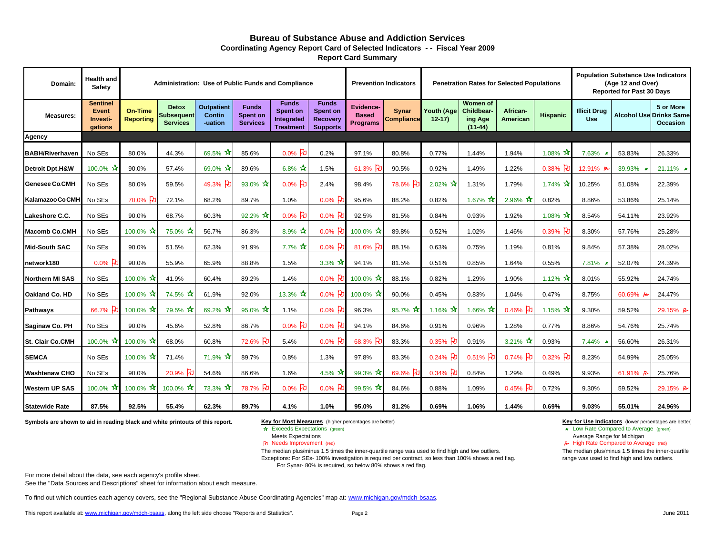#### **Bureau of Substance Abuse and Addiction ServicesReport Card Summary Coordinating Agency Report Card of Selected Indicators - - Fiscal Year 2009**

| Domain:                    | <b>Health and</b><br><b>Safety</b>                     |                                    |                                                      | Administration: Use of Public Funds and Compliance |                                             |                                                            |                                                                |                                                     | <b>Prevention Indicators</b> | <b>Penetration Rates for Selected Populations</b> |                                                       |                      | <b>Population Substance Use Indicators</b><br>(Age 12 and Over)<br><b>Reported for Past 30 Days</b> |                                   |          |                                                                |
|----------------------------|--------------------------------------------------------|------------------------------------|------------------------------------------------------|----------------------------------------------------|---------------------------------------------|------------------------------------------------------------|----------------------------------------------------------------|-----------------------------------------------------|------------------------------|---------------------------------------------------|-------------------------------------------------------|----------------------|-----------------------------------------------------------------------------------------------------|-----------------------------------|----------|----------------------------------------------------------------|
| <b>Measures:</b>           | <b>Sentinel</b><br><b>Event</b><br>Investi-<br>gations | <b>On-Time</b><br><b>Reporting</b> | <b>Detox</b><br><b>Subsequent</b><br><b>Services</b> | <b>Outpatient</b><br><b>Contin</b><br>-uation      | <b>Funds</b><br>Spent on<br><b>Services</b> | <b>Funds</b><br>Spent on<br>Integrated<br><b>Treatment</b> | <b>Funds</b><br>Spent on<br><b>Recovery</b><br><b>Supports</b> | <b>Evidence-</b><br><b>Based</b><br><b>Programs</b> | Synar<br><b>Compliance</b>   | Youth (Age<br>$12 - 17$                           | <b>Women of</b><br>Childbear-<br>ing Age<br>$(11-44)$ | African-<br>American | <b>Hispanic</b>                                                                                     | <b>Illicit Drug</b><br><b>Use</b> |          | 5 or More<br><b>Alcohol Use Drinks Same</b><br><b>Occasion</b> |
| Agency                     |                                                        |                                    |                                                      |                                                    |                                             |                                                            |                                                                |                                                     |                              |                                                   |                                                       |                      |                                                                                                     |                                   |          |                                                                |
| <b>BABH/Riverhaven</b>     | No SEs                                                 | 80.0%                              | 44.3%                                                | 69.5% $\star$                                      | 85.6%                                       | $0.0\%$ PU                                                 | 0.2%                                                           | 97.1%                                               | 80.8%                        | 0.77%                                             | 1.44%                                                 | 1.94%                | 1.08% $\bm{\hat{x}}$                                                                                | 7.63%                             | 53.83%   | 26.33%                                                         |
| <b>Detroit Dpt.H&amp;W</b> | 100.0% $\sqrt{\star}$                                  | 90.0%                              | 57.4%                                                | $69.0\%$ $\star$                                   | 89.6%                                       | $6.8\%$ $\frac{1}{11}$                                     | 1.5%                                                           | 61.3% PD                                            | 90.5%                        | 0.92%                                             | 1.49%                                                 | 1.22%                | $0.38\%$ P                                                                                          | 12.91% B                          | 39.93%   | 21.11% $\star$                                                 |
| <b>Genesee Co.CMH</b>      | No SEs                                                 | 80.0%                              | 59.5%                                                | 49.3% PD                                           | 93.0% $\star$                               | $0.0\%$ $E$                                                | 2.4%                                                           | 98.4%                                               | 78.6% P                      | $2.02\%$ $\star$                                  | 1.31%                                                 | 1.79%                | $1.74\%$                                                                                            | 10.25%                            | 51.08%   | 22.39%                                                         |
| Kalamazoo Co.CMH           | No SEs                                                 | $70.0\%$ P                         | 72.1%                                                | 68.2%                                              | 89.7%                                       | 1.0%                                                       | $0.0\%$ 比                                                      | 95.6%                                               | 88.2%                        | 0.82%                                             | 1.67% $\star$                                         | 2.96% $\sqrt{\star}$ | 0.82%                                                                                               | 8.86%                             | 53.86%   | 25.14%                                                         |
| Lakeshore C.C.             | No SEs                                                 | 90.0%                              | 68.7%                                                | 60.3%                                              | 92.2%                                       | $0.0\%$ Po                                                 | $0.0\%$ P                                                      | 92.5%                                               | 81.5%                        | 0.84%                                             | 0.93%                                                 | 1.92%                | $1.08\%$ $\lambda$                                                                                  | 8.54%                             | 54.11%   | 23.92%                                                         |
| Macomb Co.CMH              | No SEs                                                 | 100.0% $\mathbf{\hat{x}}$          | 75.0%                                                | 56.7%                                              | 86.3%                                       | 8.9% $*$                                                   | 0.0% $E$                                                       | 100.0% $\star$                                      | 89.8%                        | 0.52%                                             | 1.02%                                                 | 1.46%                | $0.39%$ P                                                                                           | 8.30%                             | 57.76%   | 25.28%                                                         |
| Mid-South SAC              | No SEs                                                 | 90.0%                              | 51.5%                                                | 62.3%                                              | 91.9%                                       | $7.7\%$ $\frac{1}{11}$                                     | $0.0\%$ Po                                                     | 81.6% PD                                            | 88.1%                        | 0.63%                                             | 0.75%                                                 | 1.19%                | 0.81%                                                                                               | 9.84%                             | 57.38%   | 28.02%                                                         |
| network180                 | 0.0%                                                   | 90.0%                              | 55.9%                                                | 65.9%                                              | 88.8%                                       | 1.5%                                                       | $3.3\%$ $\frac{1}{10}$                                         | 94.1%                                               | 81.5%                        | 0.51%                                             | 0.85%                                                 | 1.64%                | 0.55%                                                                                               | 7.81%                             | 52.07%   | 24.39%                                                         |
| <b>Northern MI SAS</b>     | No SEs                                                 | 100.0% $*$                         | 41.9%                                                | 60.4%                                              | 89.2%                                       | 1.4%                                                       | 0.0% $R$                                                       | 100.0%                                              | 88.1%                        | 0.82%                                             | 1.29%                                                 | 1.90%                | 1.12% $\lambda$                                                                                     | 8.01%                             | 55.92%   | 24.74%                                                         |
| <b>Oakland Co. HD</b>      | No SEs                                                 | 100.0%                             | $74.5\%$ $\frac{1}{10}$                              | 61.9%                                              | 92.0%                                       | 13.3% $\bm{\hat{x}}$                                       | $0.0\%$ 凡                                                      | 100.0% $\star$                                      | 90.0%                        | 0.45%                                             | 0.83%                                                 | 1.04%                | 0.47%                                                                                               | 8.75%                             | 60.69% P | 24.47%                                                         |
| Pathways                   | 66.7%                                                  | 100.0% $\star$                     | $79.5\%$ $\star$                                     | $69.2%$ *                                          | 95.0% $\star$                               | 1.1%                                                       | $0.0\%$ P                                                      | 96.3%                                               | 95.7%                        | 1.16% $\frac{1}{11}$                              | 1.66% $\mathbf{\hat{x}}$                              | 0.46% P              | 1.15% $\mathbf{\hat{x}}$                                                                            | 9.30%                             | 59.52%   | 29.15% B                                                       |
| Saginaw Co. PH             | No SEs                                                 | 90.0%                              | 45.6%                                                | 52.8%                                              | 86.7%                                       | $0.0\%$ Po                                                 | $0.0\%$ P                                                      | 94.1%                                               | 84.6%                        | 0.91%                                             | 0.96%                                                 | 1.28%                | 0.77%                                                                                               | 8.86%                             | 54.76%   | 25.74%                                                         |
| St. Clair Co.CMH           | 100.0%                                                 | 100.0% $*$                         | 68.0%                                                | 60.8%                                              | 72.6% PD                                    | 5.4%                                                       | $0.0\%$ a                                                      | $68.3%$ Po                                          | 83.3%                        | $0.35%$ PU                                        | 0.91%                                                 | 3.21% $\sqrt{x}$     | 0.93%                                                                                               | 7.44%                             | 56.60%   | 26.31%                                                         |
| <b>SEMCA</b>               | No SEs                                                 | 100.0% $*$                         | 71.4%                                                | $71.9\%$ $\frac{1}{11}$                            | 89.7%                                       | 0.8%                                                       | 1.3%                                                           | 97.8%                                               | 83.3%                        | $0.24%$ PU                                        | $0.51\%$ D                                            | 0.74%                | $0.32%$ PU                                                                                          | 8.23%                             | 54.99%   | 25.05%                                                         |
| <b>Washtenaw CHO</b>       | No SEs                                                 | 90.0%                              | $20.9%$ Po                                           | 54.6%                                              | 86.6%                                       | 1.6%                                                       | $4.5\%$ $\times$                                               | 99.3% $\bm{\hat{x}}$                                | 69.6% PD                     | $0.34%$ 7                                         | 0.84%                                                 | 1.29%                | 0.49%                                                                                               | 9.93%                             | 61.91% P | 25.76%                                                         |
| <b>Western UP SAS</b>      | 100.0%                                                 | 100.0% $\mathbf{\hat{x}}$          | 100.0%                                               | 73.3%                                              | 78.7% PD                                    | $0.0\%$ Po                                                 | $0.0\%$ P                                                      | 99.5% $\star$                                       | 84.6%                        | 0.88%                                             | 1.09%                                                 | 0.45%                | 0.72%                                                                                               | 9.30%                             | 59.52%   | 29.15% B                                                       |
| <b>Statewide Rate</b>      | 87.5%                                                  | 92.5%                              | 55.4%                                                | 62.3%                                              | 89.7%                                       | 4.1%                                                       | 1.0%                                                           | 95.0%                                               | 81.2%                        | 0.69%                                             | 1.06%                                                 | 1.44%                | 0.69%                                                                                               | 9.03%                             | 55.01%   | 24.96%                                                         |

**Symbols are shown to aid in reading black and white printouts of this report.**

#### **Key for Most Measures** (higher percentages are better) **Key for Use Indicators** (lower percentages are better)

☆ Exceeds Expectations (green)

Needs Improvement (red)

The median plus/minus 1.5 times the inner-quartile range was used to find high and low outliers. Exceptions: For SEs- 100% investigation is required per contract, so less than 100% shows a red flag. For Synar- 80% is required, so below 80% shows a red flag.

Exceeds Expectations (green) **Exceeds** Expectations (green) **Low Rate Compared to Average (green) Low Rate Compared to Average (green) Meets Expectations Meets** Expectations **Average Range for Michigan** 

Average Range for Michigan A High Rate Compared to Average (red)

The median plus/minus 1.5 times the inner-quartile range was used to find high and low outliers.

For more detail about the data, see each agency's profile sheet.

See the "Data Sources and Descriptions" sheet for information about each measure.

[To find out which counties each agency covers, see the "Regional Substance Abuse Coordinating Agencies" map at: www.michigan.gov/mdch-bsaas.](http://www.michigan.gov/documents/SA_CA_Contact_List_150817_7.pdf) 

[This report available at: www.michigan.gov/mdch-bsaas, along the left side choose "Reports and Statistics".](http://www.michigan.gov/mdch-bsaas)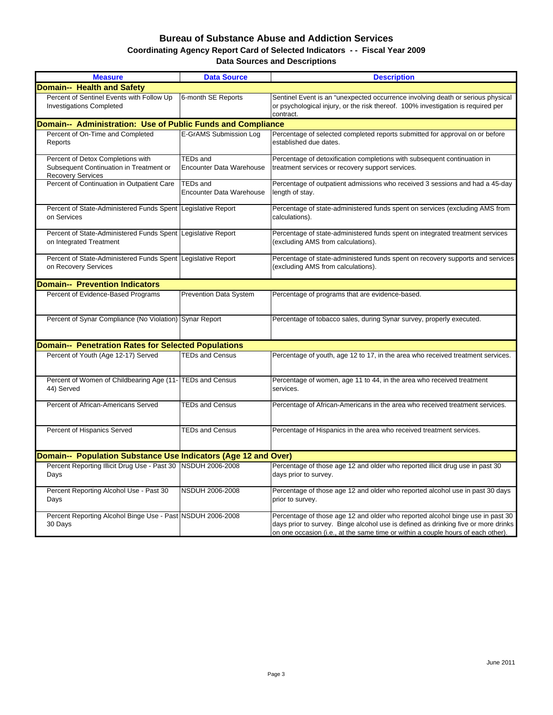#### **Coordinating Agency Report Card of Selected Indicators - - Fiscal Year 2009 Bureau of Substance Abuse and Addiction Services Data Sources and Descriptions**

| <b>Measure</b>                                                                                           | <b>Data Source</b>                                 | <b>Description</b>                                                                                                                                                                                                                                       |
|----------------------------------------------------------------------------------------------------------|----------------------------------------------------|----------------------------------------------------------------------------------------------------------------------------------------------------------------------------------------------------------------------------------------------------------|
| <b>Domain-- Health and Safety</b>                                                                        |                                                    |                                                                                                                                                                                                                                                          |
| Percent of Sentinel Events with Follow Up<br><b>Investigations Completed</b>                             | 6-month SE Reports                                 | Sentinel Event is an "unexpected occurrence involving death or serious physical<br>or psychological injury, or the risk thereof. 100% investigation is required per<br>contract.                                                                         |
| Domain-- Administration: Use of Public Funds and Compliance                                              |                                                    |                                                                                                                                                                                                                                                          |
| Percent of On-Time and Completed<br>Reports                                                              | E-GrAMS Submission Log                             | Percentage of selected completed reports submitted for approval on or before<br>established due dates.                                                                                                                                                   |
| Percent of Detox Completions with<br>Subsequent Continuation in Treatment or<br><b>Recovery Services</b> | <b>TEDs and</b><br><b>Encounter Data Warehouse</b> | Percentage of detoxification completions with subsequent continuation in<br>treatment services or recovery support services.                                                                                                                             |
| Percent of Continuation in Outpatient Care                                                               | <b>TEDs and</b><br><b>Encounter Data Warehouse</b> | Percentage of outpatient admissions who received 3 sessions and had a 45-day<br>length of stay.                                                                                                                                                          |
| Percent of State-Administered Funds Spent<br>on Services                                                 | Legislative Report                                 | Percentage of state-administered funds spent on services (excluding AMS from<br>calculations).                                                                                                                                                           |
| Percent of State-Administered Funds Spent<br>on Integrated Treatment                                     | Legislative Report                                 | Percentage of state-administered funds spent on integrated treatment services<br>(excluding AMS from calculations).                                                                                                                                      |
| Percent of State-Administered Funds Spent Legislative Report<br>on Recovery Services                     |                                                    | Percentage of state-administered funds spent on recovery supports and services<br>(excluding AMS from calculations).                                                                                                                                     |
| <b>Domain-- Prevention Indicators</b>                                                                    |                                                    |                                                                                                                                                                                                                                                          |
| Percent of Evidence-Based Programs                                                                       | <b>Prevention Data System</b>                      | Percentage of programs that are evidence-based.                                                                                                                                                                                                          |
| Percent of Synar Compliance (No Violation) Synar Report                                                  |                                                    | Percentage of tobacco sales, during Synar survey, properly executed.                                                                                                                                                                                     |
| <b>Domain-- Penetration Rates for Selected Populations</b>                                               |                                                    |                                                                                                                                                                                                                                                          |
| Percent of Youth (Age 12-17) Served                                                                      | <b>TEDs and Census</b>                             | Percentage of youth, age 12 to 17, in the area who received treatment services.                                                                                                                                                                          |
| Percent of Women of Childbearing Age (11- TEDs and Census<br>44) Served                                  |                                                    | Percentage of women, age 11 to 44, in the area who received treatment<br>services.                                                                                                                                                                       |
| Percent of African-Americans Served                                                                      | <b>TEDs and Census</b>                             | Percentage of African-Americans in the area who received treatment services.                                                                                                                                                                             |
| Percent of Hispanics Served                                                                              | <b>TEDs and Census</b>                             | Percentage of Hispanics in the area who received treatment services.                                                                                                                                                                                     |
| Domain-- Population Substance Use Indicators (Age 12 and Over)                                           |                                                    |                                                                                                                                                                                                                                                          |
| Percent Reporting Illicit Drug Use - Past 30   NSDUH 2006-2008<br>Days                                   |                                                    | Percentage of those age 12 and older who reported illicit drug use in past 30<br>days prior to survey.                                                                                                                                                   |
| Percent Reporting Alcohol Use - Past 30<br>Days                                                          | <b>NSDUH 2006-2008</b>                             | Percentage of those age 12 and older who reported alcohol use in past 30 days<br>prior to survey.                                                                                                                                                        |
| Percent Reporting Alcohol Binge Use - Past NSDUH 2006-2008<br>30 Days                                    |                                                    | Percentage of those age 12 and older who reported alcohol binge use in past 30<br>days prior to survey. Binge alcohol use is defined as drinking five or more drinks<br>on one occasion (i.e., at the same time or within a couple hours of each other). |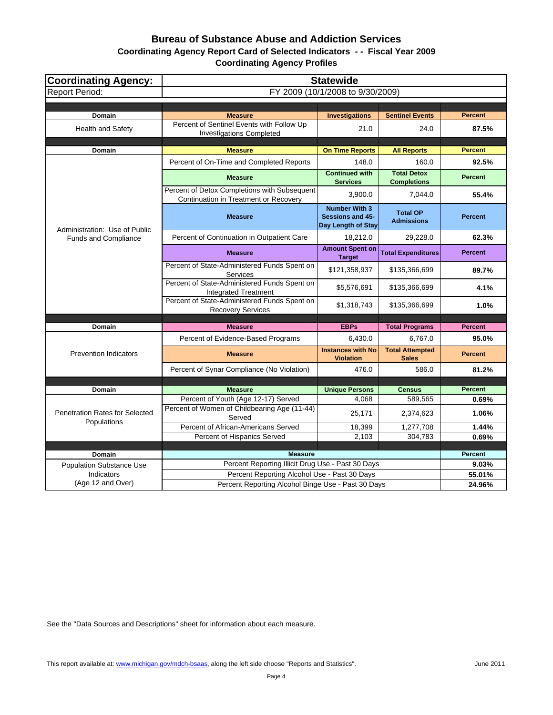**Coordinating Agency Report Card of Selected Indicators - - Fiscal Year 2009**

**Coordinating Agency Profiles**

| <b>Coordinating Agency:</b>                          | <b>Statewide</b>                                                                      |                                                                |                                        |                |  |  |
|------------------------------------------------------|---------------------------------------------------------------------------------------|----------------------------------------------------------------|----------------------------------------|----------------|--|--|
| <b>Report Period:</b>                                | FY 2009 (10/1/2008 to 9/30/2009)                                                      |                                                                |                                        |                |  |  |
|                                                      |                                                                                       |                                                                |                                        |                |  |  |
| Domain                                               | <b>Measure</b>                                                                        | <b>Investigations</b>                                          | <b>Sentinel Events</b>                 | <b>Percent</b> |  |  |
| Health and Safety                                    | Percent of Sentinel Events with Follow Up<br><b>Investigations Completed</b>          | 21.0                                                           | 24.0                                   | 87.5%          |  |  |
| Domain                                               | <b>Measure</b>                                                                        | <b>On Time Reports</b>                                         | <b>All Reports</b>                     | <b>Percent</b> |  |  |
|                                                      | Percent of On-Time and Completed Reports                                              | 148.0                                                          | 160.0                                  | 92.5%          |  |  |
|                                                      |                                                                                       | <b>Continued with</b>                                          | <b>Total Detox</b>                     |                |  |  |
|                                                      | <b>Measure</b>                                                                        | <b>Services</b>                                                | <b>Completions</b>                     | <b>Percent</b> |  |  |
|                                                      | Percent of Detox Completions with Subsequent<br>Continuation in Treatment or Recovery | 3,900.0                                                        | 7,044.0                                | 55.4%          |  |  |
| Administration: Use of Public                        | <b>Measure</b>                                                                        | <b>Number With 3</b><br>Sessions and 45-<br>Day Length of Stay | <b>Total OP</b><br><b>Admissions</b>   | <b>Percent</b> |  |  |
| <b>Funds and Compliance</b>                          | Percent of Continuation in Outpatient Care                                            | 18,212.0                                                       | 29,228.0                               | 62.3%          |  |  |
|                                                      | <b>Measure</b>                                                                        | <b>Amount Spent on</b><br><b>Target</b>                        | <b>Total Expenditures</b>              | <b>Percent</b> |  |  |
|                                                      | Percent of State-Administered Funds Spent on<br>Services                              | \$121,358,937                                                  | \$135,366,699                          | 89.7%          |  |  |
|                                                      | Percent of State-Administered Funds Spent on<br><b>Integrated Treatment</b>           | \$5,576,691                                                    | \$135,366,699                          | 4.1%           |  |  |
|                                                      | Percent of State-Administered Funds Spent on<br><b>Recovery Services</b>              | \$1,318,743                                                    | \$135,366,699                          | 1.0%           |  |  |
| <b>Domain</b>                                        | <b>Measure</b>                                                                        | <b>EBPs</b>                                                    | <b>Total Programs</b>                  | <b>Percent</b> |  |  |
|                                                      |                                                                                       |                                                                |                                        |                |  |  |
|                                                      | Percent of Evidence-Based Programs                                                    | 6,430.0                                                        | 6,767.0                                | 95.0%          |  |  |
| <b>Prevention Indicators</b>                         | <b>Measure</b>                                                                        | <b>Instances with No</b><br><b>Violation</b>                   | <b>Total Attempted</b><br><b>Sales</b> | <b>Percent</b> |  |  |
|                                                      | Percent of Synar Compliance (No Violation)                                            | 476.0                                                          | 586.0                                  | 81.2%          |  |  |
|                                                      |                                                                                       |                                                                |                                        |                |  |  |
| Domain                                               | <b>Measure</b>                                                                        | <b>Unique Persons</b>                                          | <b>Census</b>                          | <b>Percent</b> |  |  |
|                                                      | Percent of Youth (Age 12-17) Served                                                   | 4.068                                                          | 589,565                                | 0.69%          |  |  |
| <b>Penetration Rates for Selected</b><br>Populations | Percent of Women of Childbearing Age (11-44)<br>Served                                | 25,171                                                         | 2,374,623                              | 1.06%          |  |  |
|                                                      | Percent of African-Americans Served                                                   | 18,399                                                         | 1,277,708                              | 1.44%          |  |  |
|                                                      | Percent of Hispanics Served                                                           | 2,103                                                          | 304,783                                | 0.69%          |  |  |
|                                                      | <b>Measure</b>                                                                        |                                                                |                                        | <b>Percent</b> |  |  |
| Domain                                               | Percent Reporting Illicit Drug Use - Past 30 Days                                     |                                                                |                                        | 9.03%          |  |  |
| <b>Population Substance Use</b><br>Indicators        | Percent Reporting Alcohol Use - Past 30 Days                                          |                                                                |                                        | 55.01%         |  |  |
| (Age 12 and Over)                                    | Percent Reporting Alcohol Binge Use - Past 30 Days                                    |                                                                |                                        | 24.96%         |  |  |
|                                                      |                                                                                       |                                                                |                                        |                |  |  |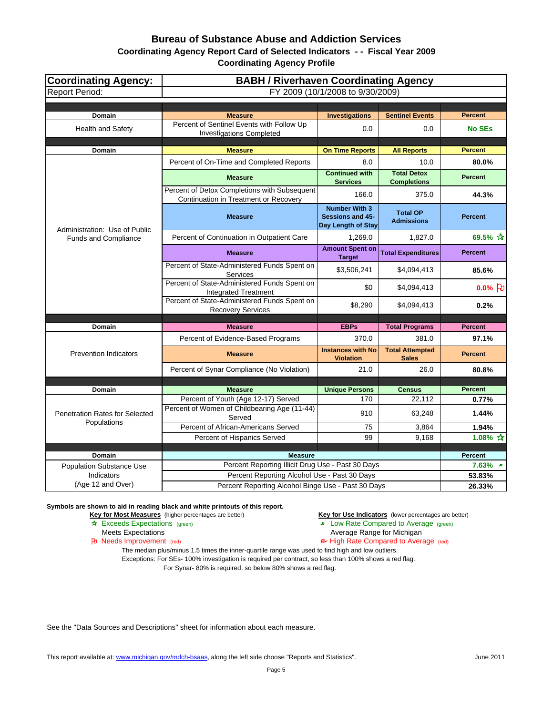## **Coordinating Agency Report Card of Selected Indicators - - Fiscal Year 2009**

**Coordinating Agency Profile**

| <b>Coordinating Agency:</b>           | <b>BABH / Riverhaven Coordinating Agency</b>                                          |                                                                |                                          |                         |  |  |
|---------------------------------------|---------------------------------------------------------------------------------------|----------------------------------------------------------------|------------------------------------------|-------------------------|--|--|
| <b>Report Period:</b>                 | FY 2009 (10/1/2008 to 9/30/2009)                                                      |                                                                |                                          |                         |  |  |
|                                       |                                                                                       |                                                                |                                          |                         |  |  |
| Domain                                | <b>Measure</b>                                                                        | <b>Investigations</b>                                          | <b>Sentinel Events</b>                   | <b>Percent</b>          |  |  |
| Health and Safety                     | Percent of Sentinel Events with Follow Up<br><b>Investigations Completed</b>          | 0.0                                                            | 0.0                                      | <b>No SEs</b>           |  |  |
| Domain                                | <b>Measure</b>                                                                        | <b>On Time Reports</b>                                         | <b>All Reports</b>                       | <b>Percent</b>          |  |  |
|                                       | Percent of On-Time and Completed Reports                                              | 8.0                                                            | 10.0                                     | 80.0%                   |  |  |
|                                       | <b>Measure</b>                                                                        | <b>Continued with</b><br><b>Services</b>                       | <b>Total Detox</b><br><b>Completions</b> | <b>Percent</b>          |  |  |
|                                       | Percent of Detox Completions with Subsequent<br>Continuation in Treatment or Recovery | 166.0                                                          | 375.0                                    | 44.3%                   |  |  |
| Administration: Use of Public         | <b>Measure</b>                                                                        | <b>Number With 3</b><br>Sessions and 45-<br>Day Length of Stay | <b>Total OP</b><br><b>Admissions</b>     | <b>Percent</b>          |  |  |
| <b>Funds and Compliance</b>           | Percent of Continuation in Outpatient Care                                            | 1,269.0                                                        | 1,827.0                                  | $69.5%$ ☆               |  |  |
|                                       | <b>Measure</b>                                                                        | <b>Amount Spent on</b><br><b>Target</b>                        | <b>Total Expenditures</b>                | <b>Percent</b>          |  |  |
|                                       | Percent of State-Administered Funds Spent on<br>Services                              | \$3,506,241                                                    | \$4,094,413                              | 85.6%                   |  |  |
|                                       | Percent of State-Administered Funds Spent on<br><b>Integrated Treatment</b>           | \$0                                                            | \$4,094,413                              | $0.0%$ <sub>2</sub>     |  |  |
|                                       | Percent of State-Administered Funds Spent on<br><b>Recovery Services</b>              | \$8,290                                                        | \$4,094,413                              | 0.2%                    |  |  |
| Domain                                | <b>Measure</b>                                                                        | <b>EBPs</b>                                                    | <b>Total Programs</b>                    | <b>Percent</b>          |  |  |
|                                       |                                                                                       | 370.0                                                          | 381.0                                    | 97.1%                   |  |  |
|                                       | Percent of Evidence-Based Programs                                                    | <b>Instances with No</b>                                       |                                          |                         |  |  |
| <b>Prevention Indicators</b>          | <b>Measure</b>                                                                        | <b>Violation</b>                                               | <b>Total Attempted</b><br><b>Sales</b>   | <b>Percent</b>          |  |  |
|                                       | Percent of Synar Compliance (No Violation)                                            | 21.0                                                           | 26.0                                     | 80.8%                   |  |  |
|                                       |                                                                                       |                                                                |                                          |                         |  |  |
| <b>Domain</b>                         | <b>Measure</b><br>Percent of Youth (Age 12-17) Served                                 | <b>Unique Persons</b><br>170                                   | <b>Census</b><br>22,112                  | <b>Percent</b><br>0.77% |  |  |
| <b>Penetration Rates for Selected</b> | Percent of Women of Childbearing Age (11-44)<br>Served                                | 910                                                            | 63,248                                   | 1.44%                   |  |  |
| Populations                           | Percent of African-Americans Served                                                   | 75                                                             | 3,864                                    | 1.94%                   |  |  |
|                                       | Percent of Hispanics Served                                                           | 99                                                             | 9,168                                    | 1.08% $\sqrt{\lambda}$  |  |  |
|                                       |                                                                                       |                                                                |                                          |                         |  |  |
| <b>Domain</b>                         | <b>Measure</b>                                                                        |                                                                |                                          | <b>Percent</b>          |  |  |
| <b>Population Substance Use</b>       | Percent Reporting Illicit Drug Use - Past 30 Days                                     |                                                                |                                          | $7.63\%$ *              |  |  |
| Indicators<br>(Age 12 and Over)       | Percent Reporting Alcohol Use - Past 30 Days                                          |                                                                |                                          | 53.83%                  |  |  |
|                                       | Percent Reporting Alcohol Binge Use - Past 30 Days                                    |                                                                |                                          | 26.33%                  |  |  |

**Symbols are shown to aid in reading black and white printouts of this report.**

**Key for Most Measures** (higher percentages are better) **Key for Use Indicators** (lower percentages are better)

- **A** Exceeds Expectations (green) **Low Rate Compared to Average** (green)
- Meets Expectations **Average Range for Michigan**<br> **Average Range for Michigan**<br> **Average Range for Michigan**<br> **Average Range for Michigan**<br> **Average Range for Michigan** 
	- $\blacktriangleright$  High Rate Compared to Average (red)

The median plus/minus 1.5 times the inner-quartile range was used to find high and low outliers.

Exceptions: For SEs- 100% investigation is required per contract, so less than 100% shows a red flag. For Synar- 80% is required, so below 80% shows a red flag.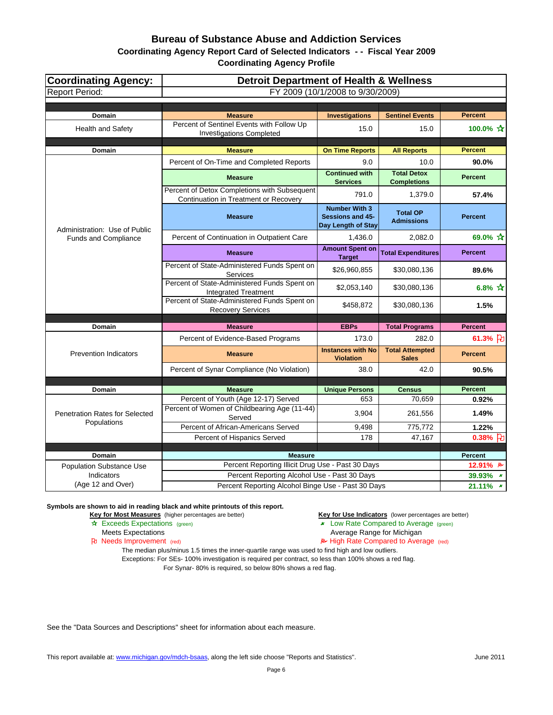## **Coordinating Agency Report Card of Selected Indicators - - Fiscal Year 2009**

**Coordinating Agency Profile**

| <b>Coordinating Agency:</b>                          | <b>Detroit Department of Health &amp; Wellness</b>                                    |                                                                       |                                          |                |  |  |
|------------------------------------------------------|---------------------------------------------------------------------------------------|-----------------------------------------------------------------------|------------------------------------------|----------------|--|--|
| <b>Report Period:</b>                                | FY 2009 (10/1/2008 to 9/30/2009)                                                      |                                                                       |                                          |                |  |  |
|                                                      |                                                                                       |                                                                       |                                          |                |  |  |
| Domain                                               | <b>Measure</b>                                                                        | <b>Investigations</b>                                                 | <b>Sentinel Events</b>                   | <b>Percent</b> |  |  |
| <b>Health and Safety</b>                             | Percent of Sentinel Events with Follow Up<br><b>Investigations Completed</b>          | 15.0                                                                  | 15.0                                     | 100.0% ☆       |  |  |
| Domain                                               | <b>Measure</b>                                                                        | <b>On Time Reports</b>                                                | <b>All Reports</b>                       | <b>Percent</b> |  |  |
|                                                      | Percent of On-Time and Completed Reports                                              | 9.0                                                                   | 10.0                                     | 90.0%          |  |  |
|                                                      | <b>Measure</b>                                                                        | <b>Continued with</b><br><b>Services</b>                              | <b>Total Detox</b><br><b>Completions</b> | <b>Percent</b> |  |  |
|                                                      | Percent of Detox Completions with Subsequent<br>Continuation in Treatment or Recovery | 791.0                                                                 | 1,379.0                                  | 57.4%          |  |  |
| Administration: Use of Public                        | <b>Measure</b>                                                                        | <b>Number With 3</b><br><b>Sessions and 45-</b><br>Day Length of Stay | <b>Total OP</b><br><b>Admissions</b>     | <b>Percent</b> |  |  |
| <b>Funds and Compliance</b>                          | Percent of Continuation in Outpatient Care                                            | 1,436.0                                                               | 2,082.0                                  | 69.0% ☆        |  |  |
|                                                      | <b>Measure</b>                                                                        | <b>Amount Spent on</b><br><b>Target</b>                               | <b>Total Expenditures</b>                | <b>Percent</b> |  |  |
|                                                      | Percent of State-Administered Funds Spent on<br>Services                              | \$26,960,855                                                          | \$30,080,136                             | 89.6%          |  |  |
|                                                      | Percent of State-Administered Funds Spent on<br><b>Integrated Treatment</b>           | \$2,053,140                                                           | \$30,080,136                             | 6.8% $*$       |  |  |
|                                                      | Percent of State-Administered Funds Spent on<br><b>Recovery Services</b>              | \$458,872                                                             | \$30,080,136                             | 1.5%           |  |  |
| Domain                                               | <b>Measure</b>                                                                        | <b>EBPs</b>                                                           | <b>Total Programs</b>                    | <b>Percent</b> |  |  |
|                                                      | Percent of Evidence-Based Programs                                                    | 173.0                                                                 | 282.0                                    | 61.3% 7        |  |  |
| <b>Prevention Indicators</b>                         | <b>Measure</b>                                                                        | <b>Instances with No</b><br><b>Violation</b>                          | <b>Total Attempted</b><br><b>Sales</b>   | <b>Percent</b> |  |  |
|                                                      | Percent of Synar Compliance (No Violation)                                            | 38.0                                                                  | 42.0                                     | 90.5%          |  |  |
|                                                      |                                                                                       |                                                                       |                                          |                |  |  |
| <b>Domain</b>                                        | <b>Measure</b>                                                                        | <b>Unique Persons</b>                                                 | <b>Census</b>                            | <b>Percent</b> |  |  |
|                                                      | Percent of Youth (Age 12-17) Served                                                   | 653                                                                   | 70,659                                   | 0.92%          |  |  |
| <b>Penetration Rates for Selected</b><br>Populations | Percent of Women of Childbearing Age (11-44)<br>Served                                | 3,904                                                                 | 261,556                                  | 1.49%          |  |  |
|                                                      | Percent of African-Americans Served                                                   | 9,498                                                                 | 775,772                                  | 1.22%          |  |  |
|                                                      | Percent of Hispanics Served                                                           | 178                                                                   | 47,167                                   | $0.38\%$ FU    |  |  |
| Domain                                               | <b>Measure</b>                                                                        |                                                                       |                                          | <b>Percent</b> |  |  |
| <b>Population Substance Use</b>                      | Percent Reporting Illicit Drug Use - Past 30 Days                                     |                                                                       |                                          | 12.91% B       |  |  |
| Indicators                                           | Percent Reporting Alcohol Use - Past 30 Days                                          |                                                                       |                                          | 39.93% *       |  |  |
| (Age 12 and Over)                                    | Percent Reporting Alcohol Binge Use - Past 30 Days                                    |                                                                       |                                          | 21.11%         |  |  |

**Symbols are shown to aid in reading black and white printouts of this report.**

**Key for Most Measures** (higher percentages are better) **Key for Use Indicators** (lower percentages are better)

- **A** Exceeds Expectations (green) **Low Rate Compared to Average** (green)
- Meets Expectations **Average Range for Michigan**<br> **Average Range for Michigan**<br> **Average Range for Michigan**<br> **Average Range for Michigan**<br> **Average Range for Michigan** 
	- $\blacktriangleright$  High Rate Compared to Average (red)

The median plus/minus 1.5 times the inner-quartile range was used to find high and low outliers.

Exceptions: For SEs- 100% investigation is required per contract, so less than 100% shows a red flag. For Synar- 80% is required, so below 80% shows a red flag.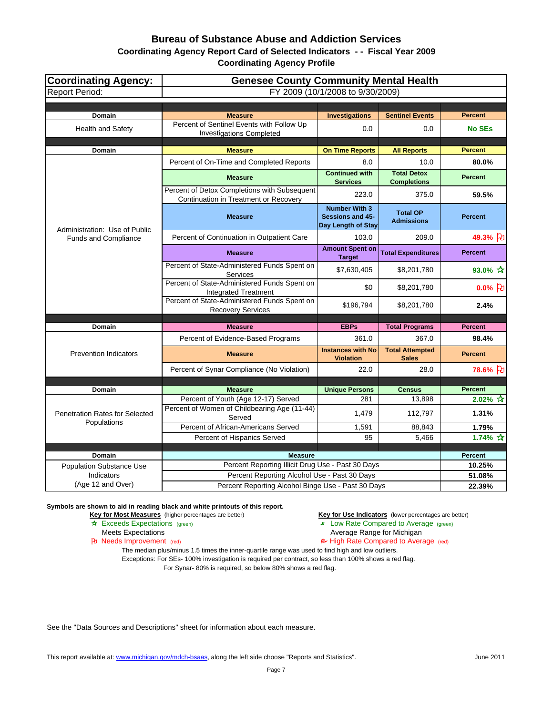## **Coordinating Agency Report Card of Selected Indicators - - Fiscal Year 2009**

**Coordinating Agency Profile**

| <b>Coordinating Agency:</b>           | <b>Genesee County Community Mental Health</b>                                         |                                                                |                                        |                         |  |  |
|---------------------------------------|---------------------------------------------------------------------------------------|----------------------------------------------------------------|----------------------------------------|-------------------------|--|--|
| <b>Report Period:</b>                 | FY 2009 (10/1/2008 to 9/30/2009)                                                      |                                                                |                                        |                         |  |  |
|                                       |                                                                                       |                                                                |                                        |                         |  |  |
| Domain                                | <b>Measure</b>                                                                        | <b>Investigations</b>                                          | <b>Sentinel Events</b>                 | <b>Percent</b>          |  |  |
| <b>Health and Safety</b>              | Percent of Sentinel Events with Follow Up<br><b>Investigations Completed</b>          | 0.0                                                            | 0.0                                    | <b>No SEs</b>           |  |  |
| <b>Domain</b>                         | <b>Measure</b>                                                                        | <b>On Time Reports</b>                                         | <b>All Reports</b>                     | <b>Percent</b>          |  |  |
|                                       | Percent of On-Time and Completed Reports                                              | 8.0                                                            | 10.0                                   | 80.0%                   |  |  |
|                                       |                                                                                       | <b>Continued with</b>                                          | <b>Total Detox</b>                     |                         |  |  |
|                                       | <b>Measure</b>                                                                        | <b>Services</b>                                                | <b>Completions</b>                     | <b>Percent</b>          |  |  |
|                                       | Percent of Detox Completions with Subsequent<br>Continuation in Treatment or Recovery | 223.0                                                          | 375.0                                  | 59.5%                   |  |  |
| Administration: Use of Public         | <b>Measure</b>                                                                        | <b>Number With 3</b><br>Sessions and 45-<br>Day Length of Stay | <b>Total OP</b><br><b>Admissions</b>   | <b>Percent</b>          |  |  |
| Funds and Compliance                  | Percent of Continuation in Outpatient Care                                            | 103.0                                                          | 209.0                                  | 49.3% }                 |  |  |
|                                       | <b>Measure</b>                                                                        | <b>Amount Spent on</b><br><b>Target</b>                        | <b>Total Expenditures</b>              | <b>Percent</b>          |  |  |
|                                       | Percent of State-Administered Funds Spent on<br>Services                              | \$7,630,405                                                    | \$8,201,780                            | 93.0% $\frac{1}{11}$    |  |  |
|                                       | Percent of State-Administered Funds Spent on<br><b>Integrated Treatment</b>           | \$0                                                            | \$8,201,780                            | $0.0%$ 凡                |  |  |
|                                       | Percent of State-Administered Funds Spent on<br><b>Recovery Services</b>              | \$196,794                                                      | \$8,201,780                            | 2.4%                    |  |  |
|                                       |                                                                                       |                                                                |                                        |                         |  |  |
| Domain                                | <b>Measure</b>                                                                        | <b>EBPs</b>                                                    | <b>Total Programs</b>                  | <b>Percent</b>          |  |  |
|                                       | Percent of Evidence-Based Programs                                                    | 361.0                                                          | 367.0                                  | 98.4%                   |  |  |
| <b>Prevention Indicators</b>          | <b>Measure</b>                                                                        | <b>Instances with No</b><br><b>Violation</b>                   | <b>Total Attempted</b><br><b>Sales</b> | <b>Percent</b>          |  |  |
|                                       | Percent of Synar Compliance (No Violation)                                            | 22.0                                                           | 28.0                                   | 78.6% }                 |  |  |
|                                       |                                                                                       |                                                                |                                        |                         |  |  |
| Domain                                | <b>Measure</b>                                                                        | <b>Unique Persons</b>                                          | <b>Census</b>                          | <b>Percent</b>          |  |  |
|                                       | Percent of Youth (Age 12-17) Served<br>Percent of Women of Childbearing Age (11-44)   | 281                                                            | 13,898                                 | $2.02\%$ $\frac{1}{10}$ |  |  |
| <b>Penetration Rates for Selected</b> | Served                                                                                | 1,479                                                          | 112,797                                | 1.31%                   |  |  |
| Populations                           | Percent of African-Americans Served                                                   | 1,591                                                          | 88.843                                 | 1.79%                   |  |  |
|                                       | Percent of Hispanics Served                                                           | 95                                                             | 5,466                                  | 1.74% $\hat{X}$         |  |  |
| Domain                                | <b>Measure</b>                                                                        |                                                                |                                        | Percent                 |  |  |
| <b>Population Substance Use</b>       | Percent Reporting Illicit Drug Use - Past 30 Days                                     |                                                                |                                        | 10.25%                  |  |  |
| Indicators                            | Percent Reporting Alcohol Use - Past 30 Days                                          |                                                                |                                        | 51.08%                  |  |  |
| (Age 12 and Over)                     | Percent Reporting Alcohol Binge Use - Past 30 Days                                    |                                                                |                                        | 22.39%                  |  |  |

**Symbols are shown to aid in reading black and white printouts of this report.**

**Key for Most Measures** (higher percentages are better) **Key for Use Indicators** (lower percentages are better)

- **A** Exceeds Expectations (green) **Low Rate Compared to Average** (green)
- Meets Expectations **Average Range for Michigan**<br> **Average Range for Michigan**<br> **Average Range for Michigan**<br> **Average Range for Michigan**<br> **Average Range for Michigan** 
	- $\blacktriangleright$  High Rate Compared to Average (red)

The median plus/minus 1.5 times the inner-quartile range was used to find high and low outliers.

Exceptions: For SEs- 100% investigation is required per contract, so less than 100% shows a red flag. For Synar- 80% is required, so below 80% shows a red flag.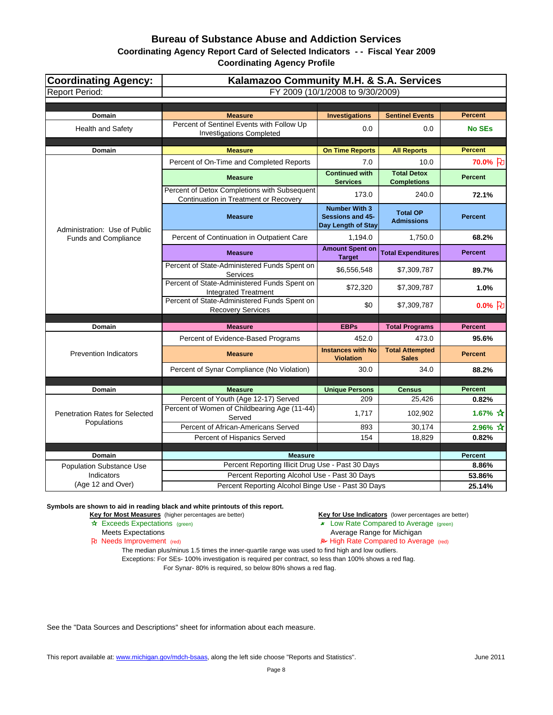## **Coordinating Agency Report Card of Selected Indicators - - Fiscal Year 2009**

**Coordinating Agency Profile**

| <b>Coordinating Agency:</b>           | Kalamazoo Community M.H. & S.A. Services                                              |                                                                |                                          |                                 |  |  |
|---------------------------------------|---------------------------------------------------------------------------------------|----------------------------------------------------------------|------------------------------------------|---------------------------------|--|--|
| <b>Report Period:</b>                 | FY 2009 (10/1/2008 to 9/30/2009)                                                      |                                                                |                                          |                                 |  |  |
|                                       |                                                                                       |                                                                |                                          |                                 |  |  |
| Domain                                | <b>Measure</b>                                                                        | <b>Investigations</b>                                          | <b>Sentinel Events</b>                   | <b>Percent</b>                  |  |  |
| Health and Safety                     | Percent of Sentinel Events with Follow Up<br><b>Investigations Completed</b>          | 0.0                                                            | 0.0                                      | <b>No SEs</b>                   |  |  |
| Domain                                | <b>Measure</b>                                                                        | <b>On Time Reports</b>                                         | <b>All Reports</b>                       | <b>Percent</b>                  |  |  |
|                                       | Percent of On-Time and Completed Reports                                              | 7.0                                                            | 10.0                                     | 70.0% }                         |  |  |
|                                       | <b>Measure</b>                                                                        | <b>Continued with</b><br><b>Services</b>                       | <b>Total Detox</b><br><b>Completions</b> | <b>Percent</b>                  |  |  |
|                                       | Percent of Detox Completions with Subsequent<br>Continuation in Treatment or Recovery | 173.0                                                          | 240.0                                    | 72.1%                           |  |  |
| Administration: Use of Public         | <b>Measure</b>                                                                        | <b>Number With 3</b><br>Sessions and 45-<br>Day Length of Stay | <b>Total OP</b><br><b>Admissions</b>     | <b>Percent</b>                  |  |  |
| Funds and Compliance                  | Percent of Continuation in Outpatient Care                                            | 1,194.0                                                        | 1,750.0                                  | 68.2%                           |  |  |
|                                       | <b>Measure</b>                                                                        | <b>Amount Spent on</b><br><b>Target</b>                        | <b>Total Expenditures</b>                | <b>Percent</b>                  |  |  |
|                                       | Percent of State-Administered Funds Spent on<br>Services                              | \$6,556,548                                                    | \$7,309,787                              | 89.7%                           |  |  |
|                                       | Percent of State-Administered Funds Spent on<br><b>Integrated Treatment</b>           | \$72,320                                                       | \$7,309,787                              | 1.0%                            |  |  |
|                                       | Percent of State-Administered Funds Spent on<br><b>Recovery Services</b>              | \$0                                                            | \$7,309,787                              | $0.0\%$ $ E $                   |  |  |
| Domain                                | <b>Measure</b>                                                                        | <b>EBPs</b>                                                    | <b>Total Programs</b>                    | <b>Percent</b>                  |  |  |
|                                       | Percent of Evidence-Based Programs                                                    | 452.0                                                          | 473.0                                    | 95.6%                           |  |  |
| <b>Prevention Indicators</b>          | <b>Measure</b>                                                                        | <b>Instances with No</b><br><b>Violation</b>                   | <b>Total Attempted</b><br><b>Sales</b>   | <b>Percent</b>                  |  |  |
|                                       | Percent of Synar Compliance (No Violation)                                            | 30.0                                                           | 34.0                                     | 88.2%                           |  |  |
|                                       |                                                                                       |                                                                |                                          |                                 |  |  |
| <b>Domain</b>                         | <b>Measure</b>                                                                        | <b>Unique Persons</b>                                          | <b>Census</b>                            | <b>Percent</b>                  |  |  |
| <b>Penetration Rates for Selected</b> | Percent of Youth (Age 12-17) Served<br>Percent of Women of Childbearing Age (11-44)   | 209<br>1,717                                                   | 25,426<br>102,902                        | 0.82%<br>1.67% $\frac{1}{11}$   |  |  |
| Populations                           | Served                                                                                |                                                                |                                          |                                 |  |  |
|                                       | Percent of African-Americans Served<br>Percent of Hispanics Served                    | 893<br>154                                                     | 30,174<br>18,829                         | 2.96% $\sqrt{\lambda}$<br>0.82% |  |  |
|                                       |                                                                                       |                                                                |                                          |                                 |  |  |
| Domain                                | <b>Measure</b>                                                                        |                                                                |                                          | <b>Percent</b>                  |  |  |
| <b>Population Substance Use</b>       | Percent Reporting Illicit Drug Use - Past 30 Days                                     |                                                                |                                          | 8.86%                           |  |  |
| Indicators                            | Percent Reporting Alcohol Use - Past 30 Days                                          |                                                                |                                          | 53.86%                          |  |  |
| (Age 12 and Over)                     | Percent Reporting Alcohol Binge Use - Past 30 Days                                    |                                                                |                                          | 25.14%                          |  |  |

**Symbols are shown to aid in reading black and white printouts of this report.**

**Key for Most Measures** (higher percentages are better) **Key for Use Indicators** (lower percentages are better)

- **A** Exceeds Expectations (green) **Low Rate Compared to Average** (green)
- Meets Expectations **Average Range for Michigan**<br> **Average Range for Michigan**<br> **Average Range for Michigan**<br> **Average Range for Michigan**<br> **Average Range for Michigan** 
	- $\blacktriangleright$  High Rate Compared to Average (red)

The median plus/minus 1.5 times the inner-quartile range was used to find high and low outliers.

Exceptions: For SEs- 100% investigation is required per contract, so less than 100% shows a red flag. For Synar- 80% is required, so below 80% shows a red flag.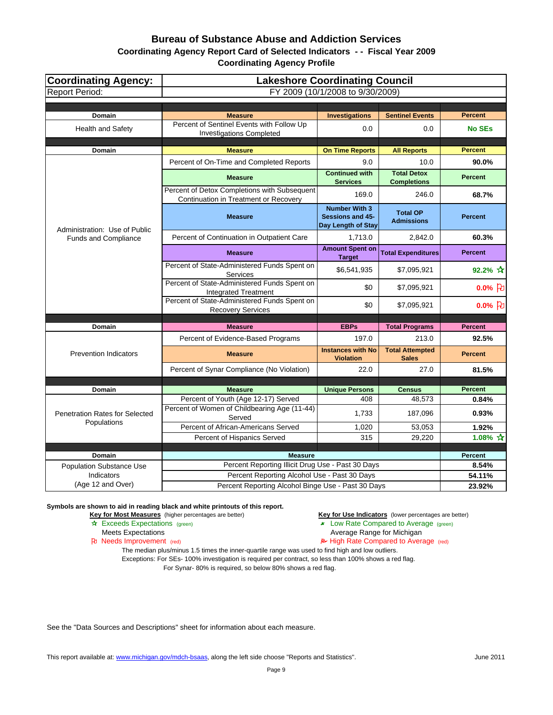## **Coordinating Agency Report Card of Selected Indicators - - Fiscal Year 2009**

**Coordinating Agency Profile**

| <b>Coordinating Agency:</b>                   | <b>Lakeshore Coordinating Council</b>                                                 |                                                                       |                                          |                 |  |  |  |
|-----------------------------------------------|---------------------------------------------------------------------------------------|-----------------------------------------------------------------------|------------------------------------------|-----------------|--|--|--|
| <b>Report Period:</b>                         |                                                                                       | FY 2009 (10/1/2008 to 9/30/2009)                                      |                                          |                 |  |  |  |
|                                               |                                                                                       |                                                                       |                                          |                 |  |  |  |
| <b>Domain</b>                                 | <b>Measure</b>                                                                        | <b>Investigations</b>                                                 | <b>Sentinel Events</b>                   | <b>Percent</b>  |  |  |  |
| Health and Safety                             | Percent of Sentinel Events with Follow Up<br><b>Investigations Completed</b>          | 0.0                                                                   | 0.0                                      | <b>No SEs</b>   |  |  |  |
| Domain                                        | <b>Measure</b>                                                                        | <b>On Time Reports</b>                                                | <b>All Reports</b>                       | <b>Percent</b>  |  |  |  |
|                                               | Percent of On-Time and Completed Reports                                              | 9.0                                                                   | 10.0                                     | 90.0%           |  |  |  |
|                                               | <b>Measure</b>                                                                        | <b>Continued with</b><br><b>Services</b>                              | <b>Total Detox</b><br><b>Completions</b> | <b>Percent</b>  |  |  |  |
|                                               | Percent of Detox Completions with Subsequent<br>Continuation in Treatment or Recovery | 169.0                                                                 | 246.0                                    | 68.7%           |  |  |  |
| Administration: Use of Public                 | <b>Measure</b>                                                                        | <b>Number With 3</b><br><b>Sessions and 45-</b><br>Day Length of Stay | <b>Total OP</b><br><b>Admissions</b>     | <b>Percent</b>  |  |  |  |
| <b>Funds and Compliance</b>                   | Percent of Continuation in Outpatient Care                                            | 1,713.0                                                               | 2,842.0                                  | 60.3%           |  |  |  |
|                                               | <b>Measure</b>                                                                        | <b>Amount Spent on</b><br><b>Target</b>                               | <b>Total Expenditures</b>                | <b>Percent</b>  |  |  |  |
|                                               | Percent of State-Administered Funds Spent on<br>Services                              | \$6,541,935                                                           | \$7,095,921                              | 92.2% $\star$   |  |  |  |
|                                               | Percent of State-Administered Funds Spent on<br><b>Integrated Treatment</b>           | \$0                                                                   | \$7,095,921                              | $0.0\%$ 2       |  |  |  |
|                                               | Percent of State-Administered Funds Spent on<br><b>Recovery Services</b>              | \$0                                                                   | \$7,095,921                              | $0.0%$ 凡        |  |  |  |
| <b>Domain</b>                                 | <b>Measure</b>                                                                        | <b>EBPs</b>                                                           | <b>Total Programs</b>                    | <b>Percent</b>  |  |  |  |
|                                               | Percent of Evidence-Based Programs                                                    | 197.0                                                                 | 213.0                                    | 92.5%           |  |  |  |
| <b>Prevention Indicators</b>                  | <b>Measure</b>                                                                        | <b>Instances with No</b><br><b>Violation</b>                          | <b>Total Attempted</b><br><b>Sales</b>   | <b>Percent</b>  |  |  |  |
|                                               | Percent of Synar Compliance (No Violation)                                            | 22.0                                                                  | 27.0                                     | 81.5%           |  |  |  |
|                                               |                                                                                       |                                                                       |                                          |                 |  |  |  |
| <b>Domain</b>                                 | <b>Measure</b>                                                                        | <b>Unique Persons</b>                                                 | <b>Census</b>                            | <b>Percent</b>  |  |  |  |
|                                               | Percent of Youth (Age 12-17) Served                                                   | 408                                                                   | 48,573                                   | 0.84%           |  |  |  |
| Penetration Rates for Selected<br>Populations | Percent of Women of Childbearing Age (11-44)<br>Served                                | 1,733                                                                 | 187,096                                  | 0.93%           |  |  |  |
|                                               | Percent of African-Americans Served                                                   | 1,020                                                                 | 53,053                                   | 1.92%           |  |  |  |
|                                               | Percent of Hispanics Served                                                           | 315                                                                   | 29,220                                   | 1.08% $\hat{X}$ |  |  |  |
| Domain                                        | <b>Measure</b>                                                                        |                                                                       |                                          | Percent         |  |  |  |
| Population Substance Use                      | Percent Reporting Illicit Drug Use - Past 30 Days                                     |                                                                       |                                          | 8.54%           |  |  |  |
| Indicators                                    | Percent Reporting Alcohol Use - Past 30 Days                                          |                                                                       |                                          | 54.11%          |  |  |  |
| (Age 12 and Over)                             | Percent Reporting Alcohol Binge Use - Past 30 Days                                    |                                                                       |                                          | 23.92%          |  |  |  |

**Symbols are shown to aid in reading black and white printouts of this report.**

**Key for Most Measures** (higher percentages are better) **Key for Use Indicators** (lower percentages are better)

- **A** Exceeds Expectations (green) **Low Rate Compared to Average** (green)
- Meets Expectations **Average Range for Michigan**<br> **Average Range for Michigan**<br> **Average Range for Michigan**<br> **Average Range for Michigan**<br> **Average Range for Michigan** 
	- $\blacktriangleright$  High Rate Compared to Average (red)

The median plus/minus 1.5 times the inner-quartile range was used to find high and low outliers.

Exceptions: For SEs- 100% investigation is required per contract, so less than 100% shows a red flag. For Synar- 80% is required, so below 80% shows a red flag.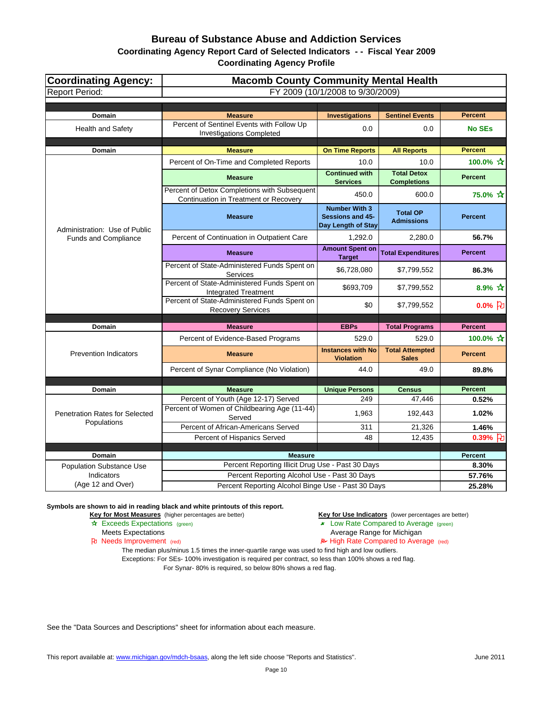## **Coordinating Agency Report Card of Selected Indicators - - Fiscal Year 2009**

**Coordinating Agency Profile**

| <b>Coordinating Agency:</b>                   | <b>Macomb County Community Mental Health</b>                                                  |                                                                |                                          |                  |  |  |
|-----------------------------------------------|-----------------------------------------------------------------------------------------------|----------------------------------------------------------------|------------------------------------------|------------------|--|--|
| <b>Report Period:</b>                         | FY 2009 (10/1/2008 to 9/30/2009)                                                              |                                                                |                                          |                  |  |  |
|                                               |                                                                                               |                                                                |                                          |                  |  |  |
| Domain                                        | <b>Measure</b>                                                                                | <b>Investigations</b>                                          | <b>Sentinel Events</b>                   | <b>Percent</b>   |  |  |
| Health and Safety                             | Percent of Sentinel Events with Follow Up<br><b>Investigations Completed</b>                  | 0.0                                                            | 0.0                                      | <b>No SEs</b>    |  |  |
| Domain                                        | <b>Measure</b>                                                                                | <b>On Time Reports</b>                                         | <b>All Reports</b>                       | <b>Percent</b>   |  |  |
|                                               | Percent of On-Time and Completed Reports                                                      | 10.0                                                           | 10.0                                     | 100.0% ☆         |  |  |
|                                               | <b>Measure</b>                                                                                | <b>Continued with</b><br><b>Services</b>                       | <b>Total Detox</b><br><b>Completions</b> | <b>Percent</b>   |  |  |
|                                               | Percent of Detox Completions with Subsequent<br>Continuation in Treatment or Recovery         | 450.0                                                          | 600.0                                    | 75.0% ☆          |  |  |
| Administration: Use of Public                 | <b>Measure</b>                                                                                | <b>Number With 3</b><br>Sessions and 45-<br>Day Length of Stay | <b>Total OP</b><br><b>Admissions</b>     | <b>Percent</b>   |  |  |
| Funds and Compliance                          | Percent of Continuation in Outpatient Care                                                    | 1,292.0                                                        | 2,280.0                                  | 56.7%            |  |  |
|                                               | <b>Measure</b>                                                                                | <b>Amount Spent on</b><br><b>Target</b>                        | <b>Total Expenditures</b>                | <b>Percent</b>   |  |  |
|                                               | Percent of State-Administered Funds Spent on<br>Services                                      | \$6,728,080                                                    | \$7,799,552                              | 86.3%            |  |  |
|                                               | Percent of State-Administered Funds Spent on<br><b>Integrated Treatment</b>                   | \$693,709                                                      | \$7,799,552                              | $8.9% \; x^{2}$  |  |  |
|                                               | Percent of State-Administered Funds Spent on<br><b>Recovery Services</b>                      | \$0                                                            | \$7,799,552                              | $0.0\%$ $\Box$   |  |  |
| Domain                                        | <b>Measure</b>                                                                                | <b>EBPs</b>                                                    | <b>Total Programs</b>                    | <b>Percent</b>   |  |  |
|                                               | Percent of Evidence-Based Programs                                                            | 529.0                                                          | 529.0                                    | 100.0% ☆         |  |  |
| <b>Prevention Indicators</b>                  | <b>Measure</b>                                                                                | <b>Instances with No</b><br><b>Violation</b>                   | <b>Total Attempted</b><br><b>Sales</b>   | <b>Percent</b>   |  |  |
|                                               | Percent of Synar Compliance (No Violation)                                                    | 44.0                                                           | 49.0                                     | 89.8%            |  |  |
|                                               |                                                                                               |                                                                |                                          |                  |  |  |
| <b>Domain</b>                                 | <b>Measure</b>                                                                                | <b>Unique Persons</b>                                          | <b>Census</b>                            | <b>Percent</b>   |  |  |
| <b>Penetration Rates for Selected</b>         | Percent of Youth (Age 12-17) Served<br>Percent of Women of Childbearing Age (11-44)<br>Served | 249<br>1,963                                                   | 47,446<br>192,443                        | 0.52%<br>1.02%   |  |  |
| Populations                                   | Percent of African-Americans Served                                                           | 311                                                            | 21,326                                   | 1.46%            |  |  |
|                                               | Percent of Hispanics Served                                                                   | 48                                                             | 12,435                                   | $0.39%$ U        |  |  |
|                                               |                                                                                               |                                                                |                                          |                  |  |  |
| Domain                                        | <b>Measure</b><br>Percent Reporting Illicit Drug Use - Past 30 Days                           |                                                                |                                          | Percent<br>8.30% |  |  |
| <b>Population Substance Use</b><br>Indicators | Percent Reporting Alcohol Use - Past 30 Days                                                  |                                                                |                                          | 57.76%           |  |  |
| (Age 12 and Over)                             | Percent Reporting Alcohol Binge Use - Past 30 Days                                            |                                                                |                                          | 25.28%           |  |  |

**Symbols are shown to aid in reading black and white printouts of this report.**

**Key for Most Measures** (higher percentages are better) **Key for Use Indicators** (lower percentages are better)

- **A** Exceeds Expectations (green) **Low Rate Compared to Average** (green)
- Meets Expectations **Average Range for Michigan**<br> **Average Range for Michigan**<br> **Average Range for Michigan**<br> **Average Range for Michigan**<br> **Average Range for Michigan** 
	- $\blacktriangleright$  High Rate Compared to Average (red)

The median plus/minus 1.5 times the inner-quartile range was used to find high and low outliers.

Exceptions: For SEs- 100% investigation is required per contract, so less than 100% shows a red flag. For Synar- 80% is required, so below 80% shows a red flag.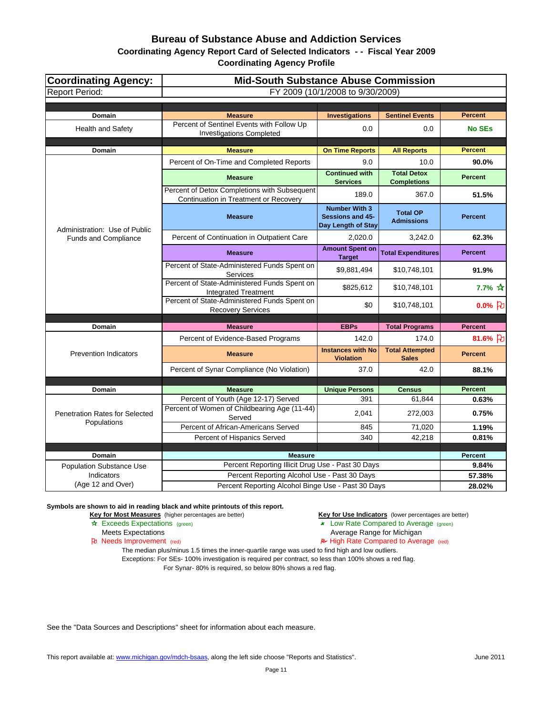## **Coordinating Agency Report Card of Selected Indicators - - Fiscal Year 2009**

**Coordinating Agency Profile**

| <b>Coordinating Agency:</b>           | <b>Mid-South Substance Abuse Commission</b>                                           |                                                                |                                          |                         |  |  |
|---------------------------------------|---------------------------------------------------------------------------------------|----------------------------------------------------------------|------------------------------------------|-------------------------|--|--|
| <b>Report Period:</b>                 | FY 2009 (10/1/2008 to 9/30/2009)                                                      |                                                                |                                          |                         |  |  |
|                                       |                                                                                       |                                                                |                                          |                         |  |  |
| Domain                                | <b>Measure</b>                                                                        | <b>Investigations</b>                                          | <b>Sentinel Events</b>                   | <b>Percent</b>          |  |  |
| Health and Safety                     | Percent of Sentinel Events with Follow Up<br><b>Investigations Completed</b>          | 0.0                                                            | 0.0                                      | <b>No SEs</b>           |  |  |
| Domain                                | <b>Measure</b>                                                                        | <b>On Time Reports</b>                                         | <b>All Reports</b>                       | <b>Percent</b>          |  |  |
|                                       | Percent of On-Time and Completed Reports                                              | 9.0                                                            | 10.0                                     | 90.0%                   |  |  |
|                                       | <b>Measure</b>                                                                        | <b>Continued with</b><br><b>Services</b>                       | <b>Total Detox</b><br><b>Completions</b> | <b>Percent</b>          |  |  |
|                                       | Percent of Detox Completions with Subsequent<br>Continuation in Treatment or Recovery | 189.0                                                          | 367.0                                    | 51.5%                   |  |  |
| Administration: Use of Public         | <b>Measure</b>                                                                        | <b>Number With 3</b><br>Sessions and 45-<br>Day Length of Stay | <b>Total OP</b><br><b>Admissions</b>     | <b>Percent</b>          |  |  |
| <b>Funds and Compliance</b>           | Percent of Continuation in Outpatient Care                                            | 2.020.0                                                        | 3,242.0                                  | 62.3%                   |  |  |
|                                       | <b>Measure</b>                                                                        | <b>Amount Spent on</b><br><b>Target</b>                        | <b>Total Expenditures</b>                | <b>Percent</b>          |  |  |
|                                       | Percent of State-Administered Funds Spent on<br>Services                              | \$9,881,494                                                    | \$10,748,101                             | 91.9%                   |  |  |
|                                       | Percent of State-Administered Funds Spent on<br><b>Integrated Treatment</b>           | \$825,612                                                      | \$10,748,101                             | $7.7\% \times$          |  |  |
|                                       | Percent of State-Administered Funds Spent on<br><b>Recovery Services</b>              | \$0                                                            | \$10,748,101                             | $0.0%$ [わ               |  |  |
|                                       | <b>Measure</b>                                                                        | <b>EBPs</b>                                                    | <b>Total Programs</b>                    | <b>Percent</b>          |  |  |
| Domain                                |                                                                                       | 142.0                                                          | 174.0                                    | 81.6% }                 |  |  |
|                                       | Percent of Evidence-Based Programs                                                    | <b>Instances with No</b>                                       |                                          |                         |  |  |
| <b>Prevention Indicators</b>          | <b>Measure</b>                                                                        | <b>Violation</b>                                               | <b>Total Attempted</b><br><b>Sales</b>   | <b>Percent</b>          |  |  |
|                                       | Percent of Synar Compliance (No Violation)                                            | 37.0                                                           | 42.0                                     | 88.1%                   |  |  |
|                                       |                                                                                       |                                                                |                                          |                         |  |  |
| Domain                                | <b>Measure</b><br>Percent of Youth (Age 12-17) Served                                 | <b>Unique Persons</b><br>391                                   | <b>Census</b><br>61,844                  | <b>Percent</b><br>0.63% |  |  |
| <b>Penetration Rates for Selected</b> | Percent of Women of Childbearing Age (11-44)<br>Served                                | 2,041                                                          | 272,003                                  | 0.75%                   |  |  |
| Populations                           | Percent of African-Americans Served                                                   | 845                                                            | 71,020                                   | 1.19%                   |  |  |
|                                       | Percent of Hispanics Served                                                           | 340                                                            | 42,218                                   | 0.81%                   |  |  |
|                                       |                                                                                       |                                                                |                                          |                         |  |  |
| <b>Domain</b>                         | <b>Measure</b>                                                                        |                                                                |                                          | <b>Percent</b>          |  |  |
| <b>Population Substance Use</b>       | Percent Reporting Illicit Drug Use - Past 30 Days                                     |                                                                |                                          | 9.84%                   |  |  |
| Indicators                            | Percent Reporting Alcohol Use - Past 30 Days                                          |                                                                |                                          | 57.38%                  |  |  |
| (Age 12 and Over)                     | Percent Reporting Alcohol Binge Use - Past 30 Days                                    |                                                                |                                          | 28.02%                  |  |  |

**Symbols are shown to aid in reading black and white printouts of this report.**

**Key for Most Measures** (higher percentages are better) **Key for Use Indicators** (lower percentages are better)

- **A** Exceeds Expectations (green) **Low Rate Compared to Average** (green)
- Meets Expectations **Average Range for Michigan**<br> **Average Range for Michigan**<br> **Average Range for Michigan**<br> **Average Range for Michigan**<br> **Average Range for Michigan** 
	- $\blacktriangleright$  High Rate Compared to Average (red)

The median plus/minus 1.5 times the inner-quartile range was used to find high and low outliers.

Exceptions: For SEs- 100% investigation is required per contract, so less than 100% shows a red flag. For Synar- 80% is required, so below 80% shows a red flag.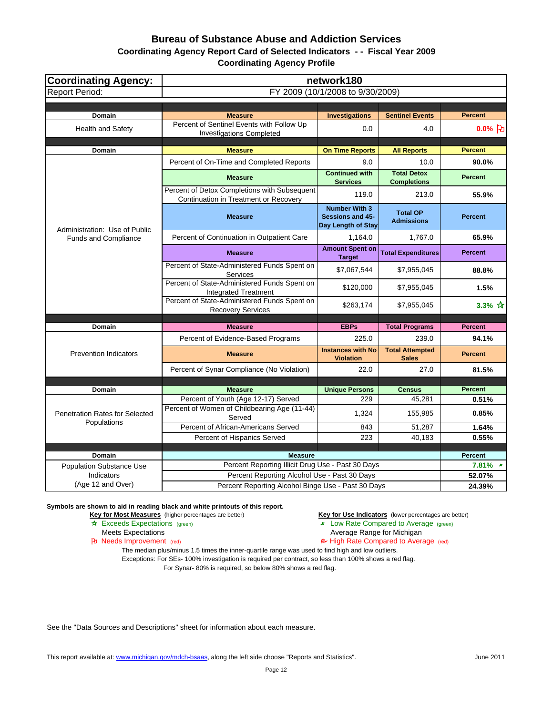## **Bureau of Substance Abuse and Addiction Services Coordinating Agency Report Card of Selected Indicators - - Fiscal Year 2009**

**Coordinating Agency Profile**

| <b>Coordinating Agency:</b>           | network180                                                                            |                                                                       |                                          |                         |
|---------------------------------------|---------------------------------------------------------------------------------------|-----------------------------------------------------------------------|------------------------------------------|-------------------------|
| <b>Report Period:</b>                 | FY 2009 (10/1/2008 to 9/30/2009)                                                      |                                                                       |                                          |                         |
|                                       |                                                                                       |                                                                       |                                          |                         |
| Domain                                | <b>Measure</b>                                                                        | <b>Investigations</b>                                                 | <b>Sentinel Events</b>                   | <b>Percent</b>          |
| Health and Safety                     | Percent of Sentinel Events with Follow Up<br><b>Investigations Completed</b>          | 0.0                                                                   | 4.0                                      | $0.0%$ [わ               |
| Domain                                | <b>Measure</b>                                                                        | <b>On Time Reports</b>                                                | <b>All Reports</b>                       | <b>Percent</b>          |
|                                       | Percent of On-Time and Completed Reports                                              | 9.0                                                                   | 10.0                                     | 90.0%                   |
|                                       | <b>Measure</b>                                                                        | <b>Continued with</b><br><b>Services</b>                              | <b>Total Detox</b><br><b>Completions</b> | <b>Percent</b>          |
|                                       | Percent of Detox Completions with Subsequent<br>Continuation in Treatment or Recovery | 119.0                                                                 | 213.0                                    | 55.9%                   |
| Administration: Use of Public         | <b>Measure</b>                                                                        | <b>Number With 3</b><br><b>Sessions and 45-</b><br>Day Length of Stay | <b>Total OP</b><br><b>Admissions</b>     | <b>Percent</b>          |
| <b>Funds and Compliance</b>           | Percent of Continuation in Outpatient Care                                            | 1,164.0                                                               | 1,767.0                                  | 65.9%                   |
|                                       | <b>Measure</b>                                                                        | <b>Amount Spent on</b><br><b>Target</b>                               | <b>Total Expenditures</b>                | <b>Percent</b>          |
|                                       | Percent of State-Administered Funds Spent on<br><b>Services</b>                       | \$7,067,544                                                           | \$7,955,045                              | 88.8%                   |
|                                       | Percent of State-Administered Funds Spent on<br><b>Integrated Treatment</b>           | \$120,000                                                             | \$7,955,045                              | 1.5%                    |
|                                       | Percent of State-Administered Funds Spent on<br><b>Recovery Services</b>              | \$263,174                                                             | \$7,955,045                              | 3.3% $\mathbf{\hat{x}}$ |
| Domain                                | <b>Measure</b>                                                                        | <b>EBPs</b>                                                           | <b>Total Programs</b>                    | <b>Percent</b>          |
|                                       | Percent of Evidence-Based Programs                                                    | 225.0                                                                 | 239.0                                    | 94.1%                   |
| <b>Prevention Indicators</b>          | <b>Measure</b>                                                                        | <b>Instances with No</b><br><b>Violation</b>                          | <b>Total Attempted</b><br><b>Sales</b>   | <b>Percent</b>          |
|                                       | Percent of Synar Compliance (No Violation)                                            | 22.0                                                                  | 27.0                                     | 81.5%                   |
|                                       |                                                                                       |                                                                       |                                          |                         |
| <b>Domain</b>                         | <b>Measure</b>                                                                        | <b>Unique Persons</b>                                                 | <b>Census</b>                            | <b>Percent</b>          |
| <b>Penetration Rates for Selected</b> | Percent of Youth (Age 12-17) Served<br>Percent of Women of Childbearing Age (11-44)   | 229<br>1,324                                                          | 45,281<br>155,985                        | 0.51%<br>0.85%          |
| Populations                           | Served                                                                                |                                                                       |                                          |                         |
|                                       | Percent of African-Americans Served<br>Percent of Hispanics Served                    | 843<br>223                                                            | 51,287<br>40,183                         | 1.64%<br>0.55%          |
|                                       |                                                                                       |                                                                       |                                          |                         |
| Domain                                | <b>Measure</b>                                                                        |                                                                       |                                          | Percent                 |
| <b>Population Substance Use</b>       | Percent Reporting Illicit Drug Use - Past 30 Days                                     |                                                                       |                                          | $7.81\%$ *              |
| Indicators                            | Percent Reporting Alcohol Use - Past 30 Days                                          |                                                                       |                                          | 52.07%                  |
| (Age 12 and Over)                     | Percent Reporting Alcohol Binge Use - Past 30 Days                                    |                                                                       |                                          | 24.39%                  |

**Symbols are shown to aid in reading black and white printouts of this report.**

**Key for Most Measures** (higher percentages are better) **Key for Use Indicators** (lower percentages are better)

- **A** Exceeds Expectations (green) **Low Rate Compared to Average** (green)
- Meets Expectations **Average Range for Michigan**<br> **Average Range for Michigan**<br> **Average Range for Michigan**<br> **Average Range for Michigan**<br> **Average Range for Michigan**

 $\blacktriangleright$  High Rate Compared to Average (red)

The median plus/minus 1.5 times the inner-quartile range was used to find high and low outliers.

Exceptions: For SEs- 100% investigation is required per contract, so less than 100% shows a red flag. For Synar- 80% is required, so below 80% shows a red flag.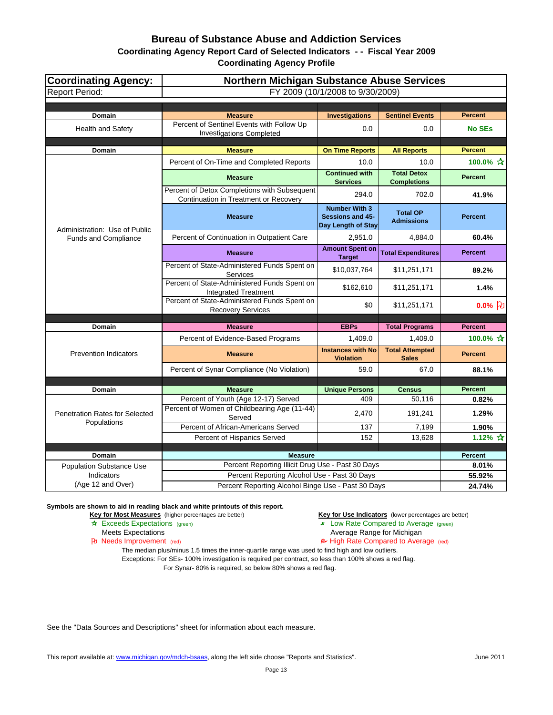**Coordinating Agency Report Card of Selected Indicators - - Fiscal Year 2009**

**Coordinating Agency Profile**

| <b>Coordinating Agency:</b>           | <b>Northern Michigan Substance Abuse Services</b>                                     |                                                                |                                          |                          |
|---------------------------------------|---------------------------------------------------------------------------------------|----------------------------------------------------------------|------------------------------------------|--------------------------|
| <b>Report Period:</b>                 | FY 2009 (10/1/2008 to 9/30/2009)                                                      |                                                                |                                          |                          |
|                                       |                                                                                       |                                                                |                                          |                          |
| Domain                                | <b>Measure</b>                                                                        | <b>Investigations</b>                                          | <b>Sentinel Events</b>                   | <b>Percent</b>           |
| <b>Health and Safety</b>              | Percent of Sentinel Events with Follow Up<br><b>Investigations Completed</b>          | 0.0                                                            | 0.0                                      | <b>No SEs</b>            |
| Domain                                | <b>Measure</b>                                                                        | <b>On Time Reports</b>                                         | <b>All Reports</b>                       | <b>Percent</b>           |
|                                       | Percent of On-Time and Completed Reports                                              | 10.0                                                           | 10.0                                     | 100.0% ☆                 |
|                                       | <b>Measure</b>                                                                        | <b>Continued with</b><br><b>Services</b>                       | <b>Total Detox</b><br><b>Completions</b> | <b>Percent</b>           |
|                                       | Percent of Detox Completions with Subsequent<br>Continuation in Treatment or Recovery | 294.0                                                          | 702.0                                    | 41.9%                    |
| Administration: Use of Public         | <b>Measure</b>                                                                        | <b>Number With 3</b><br>Sessions and 45-<br>Day Length of Stay | <b>Total OP</b><br><b>Admissions</b>     | <b>Percent</b>           |
| Funds and Compliance                  | Percent of Continuation in Outpatient Care                                            | 2,951.0                                                        | 4.884.0                                  | 60.4%                    |
|                                       | <b>Measure</b>                                                                        | <b>Amount Spent on</b><br><b>Target</b>                        | <b>Total Expenditures</b>                | <b>Percent</b>           |
|                                       | Percent of State-Administered Funds Spent on<br>Services                              | \$10,037,764                                                   | \$11,251,171                             | 89.2%                    |
|                                       | Percent of State-Administered Funds Spent on<br><b>Integrated Treatment</b>           | \$162,610                                                      | \$11,251,171                             | 1.4%                     |
|                                       | Percent of State-Administered Funds Spent on<br><b>Recovery Services</b>              | \$0                                                            | \$11,251,171                             | $0.0%$ <sub>2</sub>      |
| Domain                                | <b>Measure</b>                                                                        | <b>EBPs</b>                                                    | <b>Total Programs</b>                    | <b>Percent</b>           |
|                                       | Percent of Evidence-Based Programs                                                    | 1,409.0                                                        | 1,409.0                                  | 100.0% ☆                 |
| <b>Prevention Indicators</b>          | <b>Measure</b>                                                                        | <b>Instances with No</b><br><b>Violation</b>                   | <b>Total Attempted</b><br><b>Sales</b>   | <b>Percent</b>           |
|                                       | Percent of Synar Compliance (No Violation)                                            | 59.0                                                           | 67.0                                     | 88.1%                    |
|                                       |                                                                                       |                                                                |                                          |                          |
| Domain                                | <b>Measure</b>                                                                        | <b>Unique Persons</b>                                          | <b>Census</b>                            | <b>Percent</b>           |
| <b>Penetration Rates for Selected</b> | Percent of Youth (Age 12-17) Served<br>Percent of Women of Childbearing Age (11-44)   | 409<br>2,470                                                   | 50,116<br>191,241                        | 0.82%<br>1.29%           |
| Populations                           | Served                                                                                |                                                                |                                          |                          |
|                                       | Percent of African-Americans Served                                                   | 137                                                            | 7,199                                    | 1.90%                    |
|                                       | Percent of Hispanics Served                                                           | 152                                                            | 13,628                                   | 1.12% $\mathbf{\hat{x}}$ |
| Domain                                | <b>Measure</b>                                                                        |                                                                |                                          | <b>Percent</b>           |
| <b>Population Substance Use</b>       | Percent Reporting Illicit Drug Use - Past 30 Days                                     |                                                                |                                          | 8.01%                    |
| Indicators                            | Percent Reporting Alcohol Use - Past 30 Days                                          |                                                                |                                          | 55.92%                   |
| (Age 12 and Over)                     | Percent Reporting Alcohol Binge Use - Past 30 Days                                    |                                                                |                                          | 24.74%                   |

**Symbols are shown to aid in reading black and white printouts of this report.**

**Key for Most Measures** (higher percentages are better) **Key for Use Indicators** (lower percentages are better)

- **A** Exceeds Expectations (green) **Low Rate Compared to Average** (green)
- Meets Expectations **Average Range for Michigan**<br> **Average Range for Michigan**<br> **Average Range for Michigan**<br> **Average Range for Michigan**<br> **Average Range for Michigan** 
	- $\blacktriangleright$  High Rate Compared to Average (red)

The median plus/minus 1.5 times the inner-quartile range was used to find high and low outliers.

Exceptions: For SEs- 100% investigation is required per contract, so less than 100% shows a red flag. For Synar- 80% is required, so below 80% shows a red flag.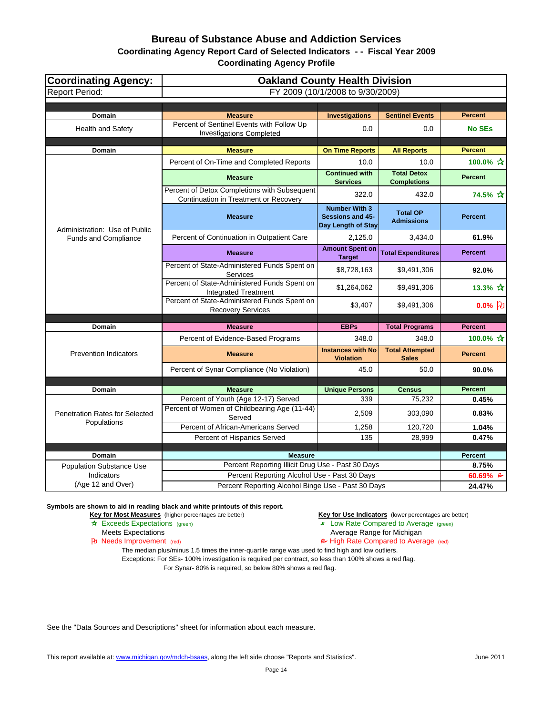**Coordinating Agency Report Card of Selected Indicators - - Fiscal Year 2009**

**Coordinating Agency Profile**

| <b>Coordinating Agency:</b>           | <b>Oakland County Health Division</b>                                                 |                                                                       |                                          |                      |
|---------------------------------------|---------------------------------------------------------------------------------------|-----------------------------------------------------------------------|------------------------------------------|----------------------|
| <b>Report Period:</b>                 | FY 2009 (10/1/2008 to 9/30/2009)                                                      |                                                                       |                                          |                      |
|                                       |                                                                                       |                                                                       |                                          |                      |
| Domain                                | <b>Measure</b>                                                                        | <b>Investigations</b>                                                 | <b>Sentinel Events</b>                   | <b>Percent</b>       |
| <b>Health and Safety</b>              | Percent of Sentinel Events with Follow Up<br><b>Investigations Completed</b>          | 0.0                                                                   | 0.0                                      | <b>No SEs</b>        |
| Domain                                | <b>Measure</b>                                                                        | <b>On Time Reports</b>                                                | <b>All Reports</b>                       | <b>Percent</b>       |
|                                       | Percent of On-Time and Completed Reports                                              | 10.0                                                                  | 10.0                                     | 100.0% ☆             |
|                                       | <b>Measure</b>                                                                        | <b>Continued with</b><br><b>Services</b>                              | <b>Total Detox</b><br><b>Completions</b> | <b>Percent</b>       |
|                                       | Percent of Detox Completions with Subsequent<br>Continuation in Treatment or Recovery | 322.0                                                                 | 432.0                                    | 74.5% ☆              |
| Administration: Use of Public         | <b>Measure</b>                                                                        | <b>Number With 3</b><br><b>Sessions and 45-</b><br>Day Length of Stay | <b>Total OP</b><br><b>Admissions</b>     | <b>Percent</b>       |
| <b>Funds and Compliance</b>           | Percent of Continuation in Outpatient Care                                            | 2,125.0                                                               | 3,434.0                                  | 61.9%                |
|                                       | <b>Measure</b>                                                                        | <b>Amount Spent on</b><br><b>Target</b>                               | <b>Total Expenditures</b>                | <b>Percent</b>       |
|                                       | Percent of State-Administered Funds Spent on<br>Services                              | \$8,728,163                                                           | \$9,491,306                              | 92.0%                |
|                                       | Percent of State-Administered Funds Spent on<br><b>Integrated Treatment</b>           | \$1,264,062                                                           | \$9,491,306                              | 13.3% $\frac{1}{11}$ |
|                                       | Percent of State-Administered Funds Spent on<br><b>Recovery Services</b>              | \$3,407                                                               | \$9,491,306                              | $0.0%$ 凡             |
| Domain                                | <b>Measure</b>                                                                        | <b>EBPs</b>                                                           | <b>Total Programs</b>                    | <b>Percent</b>       |
|                                       | Percent of Evidence-Based Programs                                                    | 348.0                                                                 | 348.0                                    | 100.0% ☆             |
|                                       |                                                                                       | <b>Instances with No</b>                                              | <b>Total Attempted</b>                   |                      |
| <b>Prevention Indicators</b>          | <b>Measure</b>                                                                        | <b>Violation</b>                                                      | <b>Sales</b>                             | <b>Percent</b>       |
|                                       | Percent of Synar Compliance (No Violation)                                            | 45.0                                                                  | 50.0                                     | 90.0%                |
|                                       |                                                                                       |                                                                       |                                          |                      |
| Domain                                | <b>Measure</b>                                                                        | <b>Unique Persons</b>                                                 | <b>Census</b>                            | <b>Percent</b>       |
| <b>Penetration Rates for Selected</b> | Percent of Youth (Age 12-17) Served<br>Percent of Women of Childbearing Age (11-44)   | 339<br>2,509                                                          | 75,232<br>303,090                        | 0.45%<br>0.83%       |
| Populations                           | Served<br>Percent of African-Americans Served                                         | 1,258                                                                 | 120,720                                  | 1.04%                |
|                                       | Percent of Hispanics Served                                                           | 135                                                                   | 28,999                                   | 0.47%                |
|                                       |                                                                                       |                                                                       |                                          |                      |
| Domain                                | <b>Measure</b>                                                                        |                                                                       |                                          | Percent              |
| <b>Population Substance Use</b>       | Percent Reporting Illicit Drug Use - Past 30 Days                                     |                                                                       |                                          | 8.75%                |
| Indicators                            | Percent Reporting Alcohol Use - Past 30 Days                                          |                                                                       |                                          | 60.69% $\approx$     |
| (Age 12 and Over)                     | Percent Reporting Alcohol Binge Use - Past 30 Days                                    |                                                                       |                                          | 24.47%               |

**Symbols are shown to aid in reading black and white printouts of this report.**

**Key for Most Measures** (higher percentages are better) **Key for Use Indicators** (lower percentages are better)

- **A** Exceeds Expectations (green) **Low Rate Compared to Average** (green)
- Meets Expectations **Average Range for Michigan**<br> **Average Range for Michigan**<br> **Average Range for Michigan**<br> **Average Range for Michigan**<br> **Average Range for Michigan** 
	- $\blacktriangleright$  High Rate Compared to Average (red)

The median plus/minus 1.5 times the inner-quartile range was used to find high and low outliers.

Exceptions: For SEs- 100% investigation is required per contract, so less than 100% shows a red flag. For Synar- 80% is required, so below 80% shows a red flag.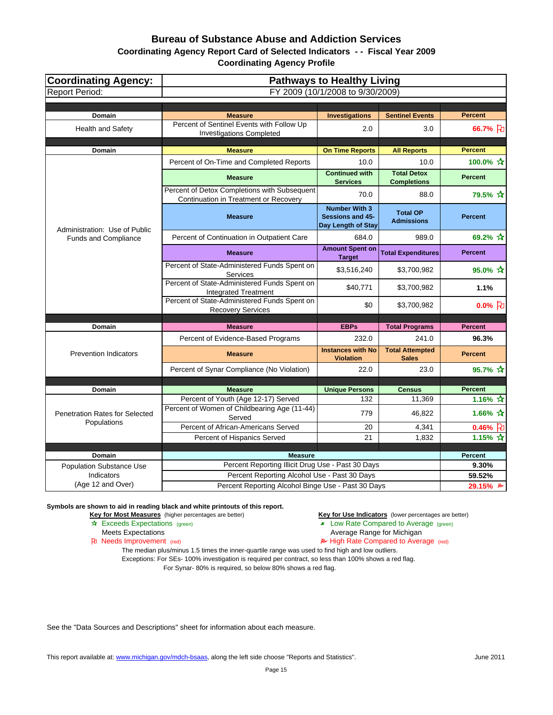## **Coordinating Agency Report Card of Selected Indicators - - Fiscal Year 2009**

**Coordinating Agency Profile**

| <b>Coordinating Agency:</b>                   | <b>Pathways to Healthy Living</b>                                                     |                                                                       |                                          |                       |
|-----------------------------------------------|---------------------------------------------------------------------------------------|-----------------------------------------------------------------------|------------------------------------------|-----------------------|
| <b>Report Period:</b>                         | FY 2009 (10/1/2008 to 9/30/2009)                                                      |                                                                       |                                          |                       |
|                                               |                                                                                       |                                                                       |                                          |                       |
| Domain                                        | <b>Measure</b>                                                                        | <b>Investigations</b>                                                 | <b>Sentinel Events</b>                   | <b>Percent</b>        |
| Health and Safety                             | Percent of Sentinel Events with Follow Up<br><b>Investigations Completed</b>          | 2.0                                                                   | 3.0                                      | 66.7% }               |
| Domain                                        | <b>Measure</b>                                                                        | <b>On Time Reports</b>                                                | <b>All Reports</b>                       | <b>Percent</b>        |
|                                               | Percent of On-Time and Completed Reports                                              | 10.0                                                                  | 10.0                                     | 100.0% ☆              |
|                                               | <b>Measure</b>                                                                        | <b>Continued with</b><br><b>Services</b>                              | <b>Total Detox</b><br><b>Completions</b> | <b>Percent</b>        |
|                                               | Percent of Detox Completions with Subsequent<br>Continuation in Treatment or Recovery | 70.0                                                                  | 88.0                                     | 79.5% ☆               |
| Administration: Use of Public                 | <b>Measure</b>                                                                        | <b>Number With 3</b><br><b>Sessions and 45-</b><br>Day Length of Stay | <b>Total OP</b><br><b>Admissions</b>     | <b>Percent</b>        |
| <b>Funds and Compliance</b>                   | Percent of Continuation in Outpatient Care                                            | 684.0                                                                 | 989.0                                    | 69.2% ☆               |
|                                               | <b>Measure</b>                                                                        | <b>Amount Spent on</b><br><b>Target</b>                               | <b>Total Expenditures</b>                | <b>Percent</b>        |
|                                               | Percent of State-Administered Funds Spent on<br>Services                              | \$3,516,240                                                           | \$3,700,982                              | 95.0% ☆               |
|                                               | Percent of State-Administered Funds Spent on<br><b>Integrated Treatment</b>           | \$40,771                                                              | \$3,700,982                              | 1.1%                  |
|                                               | Percent of State-Administered Funds Spent on<br><b>Recovery Services</b>              | \$0                                                                   | \$3,700,982                              | $0.0%$ [わ             |
| Domain                                        | <b>Measure</b>                                                                        | <b>EBPs</b>                                                           | <b>Total Programs</b>                    | <b>Percent</b>        |
|                                               | Percent of Evidence-Based Programs                                                    | 232.0                                                                 | 241.0                                    | 96.3%                 |
| <b>Prevention Indicators</b>                  | <b>Measure</b>                                                                        | <b>Instances with No</b><br><b>Violation</b>                          | <b>Total Attempted</b><br><b>Sales</b>   | <b>Percent</b>        |
|                                               | Percent of Synar Compliance (No Violation)                                            | 22.0                                                                  | 23.0                                     | 95.7% ☆               |
|                                               |                                                                                       |                                                                       |                                          |                       |
| <b>Domain</b>                                 | <b>Measure</b>                                                                        | <b>Unique Persons</b>                                                 | <b>Census</b>                            | <b>Percent</b>        |
|                                               | Percent of Youth (Age 12-17) Served                                                   | 132                                                                   | 11,369                                   | 1.16% $\frac{1}{11}$  |
| Penetration Rates for Selected<br>Populations | Percent of Women of Childbearing Age (11-44)<br>Served                                | 779                                                                   | 46,822                                   | 1.66% $*$             |
|                                               | Percent of African-Americans Served                                                   | 20                                                                    | 4,341                                    | 0.46% $\upbeta$       |
|                                               | Percent of Hispanics Served                                                           | 21                                                                    | 1,832                                    | 1.15% $\hat{X}$       |
| Domain                                        | <b>Measure</b>                                                                        |                                                                       |                                          | Percent               |
| Population Substance Use                      | Percent Reporting Illicit Drug Use - Past 30 Days                                     |                                                                       |                                          | 9.30%                 |
| Indicators                                    | Percent Reporting Alcohol Use - Past 30 Days                                          |                                                                       |                                          | 59.52%                |
| (Age 12 and Over)                             | Percent Reporting Alcohol Binge Use - Past 30 Days                                    |                                                                       |                                          | 29.15% $\overline{P}$ |

**Symbols are shown to aid in reading black and white printouts of this report.**

**Key for Most Measures** (higher percentages are better) **Key for Use Indicators** (lower percentages are better)

- **A** Exceeds Expectations (green) **Low Rate Compared to Average** (green)
- Meets Expectations **Average Range for Michigan**<br> **Average Range for Michigan**<br> **Average Range for Michigan**<br> **Average Range for Michigan**<br> **Average Range for Michigan** 
	- $\blacktriangleright$  High Rate Compared to Average (red)

The median plus/minus 1.5 times the inner-quartile range was used to find high and low outliers.

Exceptions: For SEs- 100% investigation is required per contract, so less than 100% shows a red flag. For Synar- 80% is required, so below 80% shows a red flag.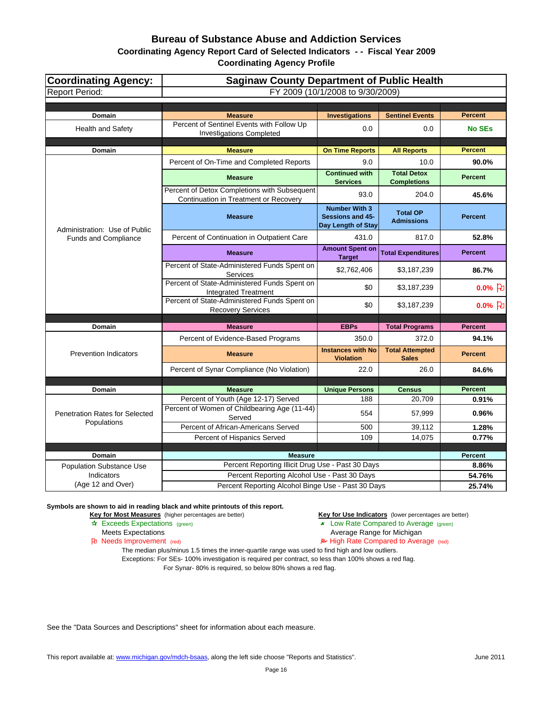## **Coordinating Agency Report Card of Selected Indicators - - Fiscal Year 2009**

**Coordinating Agency Profile**

| <b>Coordinating Agency:</b>           | <b>Saginaw County Department of Public Health</b>                                     |                                                                |                                          |                     |
|---------------------------------------|---------------------------------------------------------------------------------------|----------------------------------------------------------------|------------------------------------------|---------------------|
| <b>Report Period:</b>                 | FY 2009 (10/1/2008 to 9/30/2009)                                                      |                                                                |                                          |                     |
|                                       |                                                                                       |                                                                |                                          |                     |
| Domain                                | <b>Measure</b>                                                                        | <b>Investigations</b>                                          | <b>Sentinel Events</b>                   | <b>Percent</b>      |
| <b>Health and Safety</b>              | Percent of Sentinel Events with Follow Up<br><b>Investigations Completed</b>          | 0.0                                                            | 0.0                                      | <b>No SEs</b>       |
| <b>Domain</b>                         | <b>Measure</b>                                                                        | <b>On Time Reports</b>                                         | <b>All Reports</b>                       | <b>Percent</b>      |
|                                       | Percent of On-Time and Completed Reports                                              | 9.0                                                            | 10.0                                     | 90.0%               |
|                                       | <b>Measure</b>                                                                        | <b>Continued with</b><br><b>Services</b>                       | <b>Total Detox</b><br><b>Completions</b> | <b>Percent</b>      |
|                                       | Percent of Detox Completions with Subsequent<br>Continuation in Treatment or Recovery | 93.0                                                           | 204.0                                    | 45.6%               |
| Administration: Use of Public         | <b>Measure</b>                                                                        | <b>Number With 3</b><br>Sessions and 45-<br>Day Length of Stay | <b>Total OP</b><br><b>Admissions</b>     | <b>Percent</b>      |
| Funds and Compliance                  | Percent of Continuation in Outpatient Care                                            | 431.0                                                          | 817.0                                    | 52.8%               |
|                                       | <b>Measure</b>                                                                        | <b>Amount Spent on</b><br><b>Target</b>                        | <b>Total Expenditures</b>                | <b>Percent</b>      |
|                                       | Percent of State-Administered Funds Spent on<br>Services                              | \$2,762,406                                                    | \$3,187,239                              | 86.7%               |
|                                       | Percent of State-Administered Funds Spent on<br><b>Integrated Treatment</b>           | \$0                                                            | \$3,187,239                              | $0.0%$ 凡            |
|                                       | Percent of State-Administered Funds Spent on<br><b>Recovery Services</b>              | \$0                                                            | \$3,187,239                              | $0.0%$ <sub>2</sub> |
| Domain                                | <b>Measure</b>                                                                        | <b>EBPs</b>                                                    | <b>Total Programs</b>                    | <b>Percent</b>      |
|                                       |                                                                                       | 350.0                                                          | 372.0                                    | 94.1%               |
|                                       | Percent of Evidence-Based Programs                                                    |                                                                |                                          |                     |
| <b>Prevention Indicators</b>          | <b>Measure</b>                                                                        | <b>Instances with No</b><br><b>Violation</b>                   | <b>Total Attempted</b><br><b>Sales</b>   | <b>Percent</b>      |
|                                       | Percent of Synar Compliance (No Violation)                                            | 22.0                                                           | 26.0                                     | 84.6%               |
|                                       |                                                                                       |                                                                |                                          |                     |
| Domain                                | <b>Measure</b><br>Percent of Youth (Age 12-17) Served                                 | <b>Unique Persons</b>                                          | <b>Census</b>                            | <b>Percent</b>      |
| <b>Penetration Rates for Selected</b> | Percent of Women of Childbearing Age (11-44)                                          | 188<br>554                                                     | 20,709<br>57,999                         | 0.91%<br>0.96%      |
| Populations                           | Served<br>Percent of African-Americans Served                                         | 500                                                            | 39.112                                   | 1.28%               |
|                                       | Percent of Hispanics Served                                                           | 109                                                            | 14,075                                   | 0.77%               |
|                                       |                                                                                       |                                                                |                                          |                     |
| Domain                                | <b>Measure</b>                                                                        |                                                                |                                          | <b>Percent</b>      |
| <b>Population Substance Use</b>       | Percent Reporting Illicit Drug Use - Past 30 Days                                     |                                                                |                                          | 8.86%               |
| Indicators                            | Percent Reporting Alcohol Use - Past 30 Days                                          |                                                                |                                          | 54.76%              |
| (Age 12 and Over)                     | Percent Reporting Alcohol Binge Use - Past 30 Days                                    |                                                                |                                          | 25.74%              |

**Symbols are shown to aid in reading black and white printouts of this report.**

**Key for Most Measures** (higher percentages are better) **Key for Use Indicators** (lower percentages are better)

- **A** Exceeds Expectations (green) **Low Rate Compared to Average** (green)
- Meets Expectations **Average Range for Michigan**<br> **Average Range for Michigan**<br> **Average Range for Michigan**<br> **Average Range for Michigan**<br> **Average Range for Michigan** 
	- $\blacktriangleright$  High Rate Compared to Average (red)

The median plus/minus 1.5 times the inner-quartile range was used to find high and low outliers.

Exceptions: For SEs- 100% investigation is required per contract, so less than 100% shows a red flag. For Synar- 80% is required, so below 80% shows a red flag.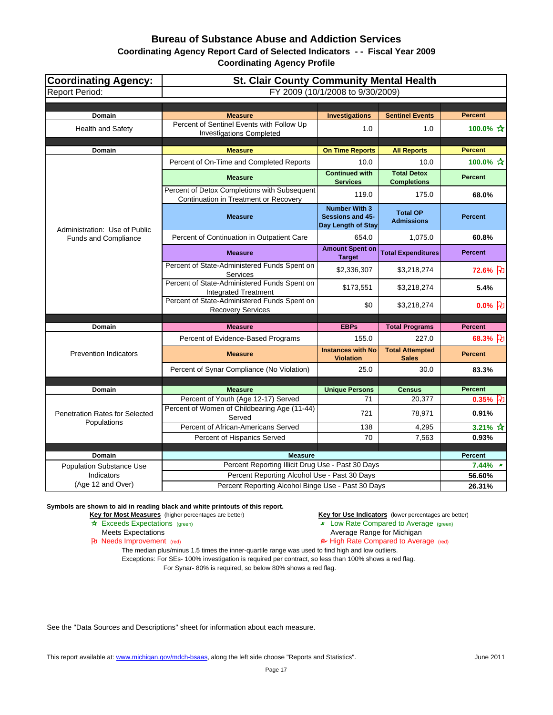#### **Coordinating Agency Report Card of Selected Indicators - - Fiscal Year 2009**

**Coordinating Agency Profile**

| <b>Coordinating Agency:</b>     | <b>St. Clair County Community Mental Health</b>                                                    |                                                                       |                                          |                    |
|---------------------------------|----------------------------------------------------------------------------------------------------|-----------------------------------------------------------------------|------------------------------------------|--------------------|
| <b>Report Period:</b>           | FY 2009 (10/1/2008 to 9/30/2009)                                                                   |                                                                       |                                          |                    |
|                                 |                                                                                                    |                                                                       |                                          |                    |
| Domain                          | <b>Measure</b>                                                                                     | <b>Investigations</b>                                                 | <b>Sentinel Events</b>                   | <b>Percent</b>     |
| Health and Safety               | Percent of Sentinel Events with Follow Up<br><b>Investigations Completed</b>                       | 1.0                                                                   | 1.0                                      | 100.0% ☆           |
| Domain                          | <b>Measure</b>                                                                                     | <b>On Time Reports</b>                                                | <b>All Reports</b>                       | <b>Percent</b>     |
|                                 | Percent of On-Time and Completed Reports                                                           | 10.0                                                                  | 10.0                                     | 100.0% ☆           |
|                                 | <b>Measure</b>                                                                                     | <b>Continued with</b><br><b>Services</b>                              | <b>Total Detox</b><br><b>Completions</b> | <b>Percent</b>     |
|                                 | Percent of Detox Completions with Subsequent<br>Continuation in Treatment or Recovery              | 119.0                                                                 | 175.0                                    | 68.0%              |
| Administration: Use of Public   | <b>Measure</b>                                                                                     | <b>Number With 3</b><br><b>Sessions and 45-</b><br>Day Length of Stay | <b>Total OP</b><br><b>Admissions</b>     | <b>Percent</b>     |
| <b>Funds and Compliance</b>     | Percent of Continuation in Outpatient Care                                                         | 654.0                                                                 | 1,075.0                                  | 60.8%              |
|                                 | <b>Measure</b>                                                                                     | <b>Amount Spent on</b><br><b>Target</b>                               | <b>Total Expenditures</b>                | <b>Percent</b>     |
|                                 | Percent of State-Administered Funds Spent on<br>Services                                           | \$2,336,307                                                           | \$3,218,274                              | 72.6% }            |
|                                 | Percent of State-Administered Funds Spent on<br><b>Integrated Treatment</b>                        | \$173,551                                                             | \$3,218,274                              | 5.4%               |
|                                 | Percent of State-Administered Funds Spent on<br><b>Recovery Services</b>                           | \$0                                                                   | \$3,218,274                              | $0.0%$ [わ          |
| Domain                          | <b>Measure</b>                                                                                     | <b>EBPs</b>                                                           | <b>Total Programs</b>                    | <b>Percent</b>     |
|                                 | Percent of Evidence-Based Programs                                                                 | 155.0                                                                 | 227.0                                    | 68.3% 刊            |
| <b>Prevention Indicators</b>    | <b>Measure</b>                                                                                     | <b>Instances with No</b><br><b>Violation</b>                          | <b>Total Attempted</b><br><b>Sales</b>   | <b>Percent</b>     |
|                                 | Percent of Synar Compliance (No Violation)                                                         | 25.0                                                                  | 30.0                                     | 83.3%              |
|                                 |                                                                                                    |                                                                       |                                          |                    |
| <b>Domain</b>                   | <b>Measure</b>                                                                                     | <b>Unique Persons</b>                                                 | <b>Census</b>                            | <b>Percent</b>     |
| Penetration Rates for Selected  | Percent of Youth (Age 12-17) Served<br>Percent of Women of Childbearing Age (11-44)                | 71<br>721                                                             | 20,377<br>78,971                         | $0.35%$ 2<br>0.91% |
| Populations                     | Served<br>Percent of African-Americans Served                                                      | 138                                                                   | 4,295                                    | 3.21% ☆            |
|                                 | Percent of Hispanics Served                                                                        | 70                                                                    | 7,563                                    | 0.93%              |
|                                 |                                                                                                    |                                                                       |                                          |                    |
| Domain                          | <b>Measure</b>                                                                                     |                                                                       |                                          | <b>Percent</b>     |
| Population Substance Use        | Percent Reporting Illicit Drug Use - Past 30 Days                                                  |                                                                       |                                          | $7.44\%$ *         |
| Indicators<br>(Age 12 and Over) | Percent Reporting Alcohol Use - Past 30 Days<br>Percent Reporting Alcohol Binge Use - Past 30 Days |                                                                       |                                          | 56.60%             |
|                                 |                                                                                                    |                                                                       |                                          | 26.31%             |

**Symbols are shown to aid in reading black and white printouts of this report.**

**Key for Most Measures** (higher percentages are better) **Key for Use Indicators** (lower percentages are better)

- **A** Exceeds Expectations (green) **Low Rate Compared to Average** (green)
- Meets Expectations **Average Range for Michigan**<br> **Average Range for Michigan**<br> **Average Range for Michigan**<br> **Average Range for Michigan**<br> **Average Range for Michigan** 
	- $\blacktriangleright$  High Rate Compared to Average (red)

The median plus/minus 1.5 times the inner-quartile range was used to find high and low outliers.

Exceptions: For SEs- 100% investigation is required per contract, so less than 100% shows a red flag. For Synar- 80% is required, so below 80% shows a red flag.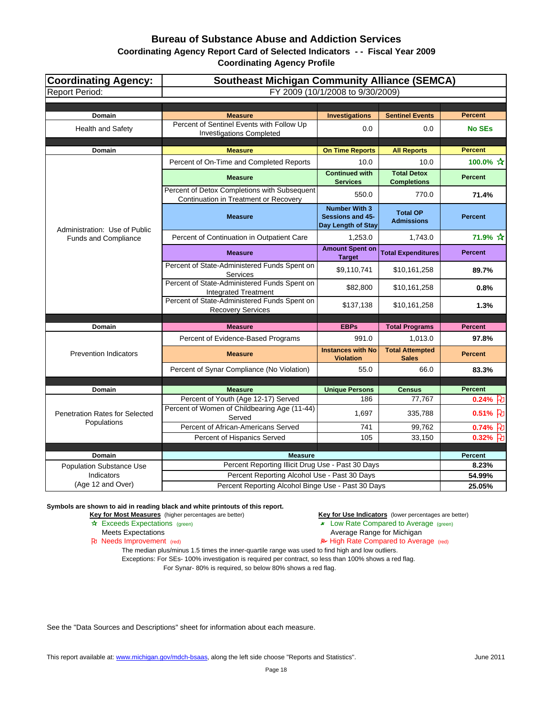**Coordinating Agency Report Card of Selected Indicators - - Fiscal Year 2009**

**Coordinating Agency Profile**

| <b>Coordinating Agency:</b>            | <b>Southeast Michigan Community Alliance (SEMCA)</b>                                  |                                                                       |                                          |                              |
|----------------------------------------|---------------------------------------------------------------------------------------|-----------------------------------------------------------------------|------------------------------------------|------------------------------|
| <b>Report Period:</b>                  | FY 2009 (10/1/2008 to 9/30/2009)                                                      |                                                                       |                                          |                              |
|                                        |                                                                                       |                                                                       |                                          |                              |
| Domain                                 | <b>Measure</b>                                                                        | <b>Investigations</b>                                                 | <b>Sentinel Events</b>                   | <b>Percent</b>               |
| <b>Health and Safety</b>               | Percent of Sentinel Events with Follow Up<br><b>Investigations Completed</b>          | 0.0                                                                   | 0.0                                      | <b>No SEs</b>                |
| Domain                                 | <b>Measure</b>                                                                        | <b>On Time Reports</b>                                                | <b>All Reports</b>                       | <b>Percent</b>               |
|                                        | Percent of On-Time and Completed Reports                                              | 10.0                                                                  | 10.0                                     | 100.0% ☆                     |
|                                        | <b>Measure</b>                                                                        | <b>Continued with</b><br><b>Services</b>                              | <b>Total Detox</b><br><b>Completions</b> | <b>Percent</b>               |
|                                        | Percent of Detox Completions with Subsequent<br>Continuation in Treatment or Recovery | 550.0                                                                 | 770.0                                    | 71.4%                        |
| Administration: Use of Public          | <b>Measure</b>                                                                        | <b>Number With 3</b><br><b>Sessions and 45-</b><br>Day Length of Stay | <b>Total OP</b><br><b>Admissions</b>     | <b>Percent</b>               |
| <b>Funds and Compliance</b>            | Percent of Continuation in Outpatient Care                                            | 1,253.0                                                               | 1,743.0                                  | 71.9% ☆                      |
|                                        | <b>Measure</b>                                                                        | <b>Amount Spent on</b><br><b>Target</b>                               | <b>Total Expenditures</b>                | <b>Percent</b>               |
|                                        | Percent of State-Administered Funds Spent on<br>Services                              | \$9,110,741                                                           | \$10,161,258                             | 89.7%                        |
|                                        | Percent of State-Administered Funds Spent on<br><b>Integrated Treatment</b>           | \$82,800                                                              | \$10,161,258                             | 0.8%                         |
|                                        | Percent of State-Administered Funds Spent on<br><b>Recovery Services</b>              | \$137,138                                                             | \$10,161,258                             | 1.3%                         |
| Domain                                 | <b>Measure</b>                                                                        | <b>EBPs</b>                                                           | <b>Total Programs</b>                    | <b>Percent</b>               |
|                                        | Percent of Evidence-Based Programs                                                    | 991.0                                                                 | 1,013.0                                  | 97.8%                        |
| <b>Prevention Indicators</b>           | <b>Measure</b>                                                                        | <b>Instances with No</b><br><b>Violation</b>                          | <b>Total Attempted</b><br><b>Sales</b>   | <b>Percent</b>               |
|                                        | Percent of Synar Compliance (No Violation)                                            | 55.0                                                                  | 66.0                                     | 83.3%                        |
|                                        |                                                                                       |                                                                       |                                          |                              |
| Domain                                 | <b>Measure</b>                                                                        | <b>Unique Persons</b>                                                 | <b>Census</b>                            | <b>Percent</b><br>0.24%<br>Æ |
| <b>Penetration Rates for Selected</b>  | Percent of Youth (Age 12-17) Served<br>Percent of Women of Childbearing Age (11-44)   | 186<br>1,697                                                          | 77,767<br>335,788                        | $0.51%$ 7                    |
| Populations                            | Served<br>Percent of African-Americans Served                                         | 741                                                                   | 99,762                                   | $0.74%$ 七                    |
|                                        | Percent of Hispanics Served                                                           | 105                                                                   | 33,150                                   | $0.32%$ FU                   |
|                                        |                                                                                       |                                                                       |                                          |                              |
| Domain                                 | <b>Measure</b><br>Percent Reporting Illicit Drug Use - Past 30 Days                   |                                                                       |                                          | <b>Percent</b>               |
| Population Substance Use<br>Indicators | Percent Reporting Alcohol Use - Past 30 Days                                          |                                                                       |                                          | 8.23%<br>54.99%              |
| (Age 12 and Over)                      | Percent Reporting Alcohol Binge Use - Past 30 Days                                    |                                                                       |                                          | 25.05%                       |

**Symbols are shown to aid in reading black and white printouts of this report.**

**Key for Most Measures** (higher percentages are better) **Key for Use Indicators** (lower percentages are better)

- **A** Exceeds Expectations (green) **Low Rate Compared to Average** (green)
- Meets Expectations **Average Range for Michigan**<br> **Average Range for Michigan**<br> **Average Range for Michigan**<br> **Average Range for Michigan**<br> **Average Range for Michigan** 
	- $\blacktriangleright$  High Rate Compared to Average (red)

The median plus/minus 1.5 times the inner-quartile range was used to find high and low outliers.

Exceptions: For SEs- 100% investigation is required per contract, so less than 100% shows a red flag.

For Synar- 80% is required, so below 80% shows a red flag.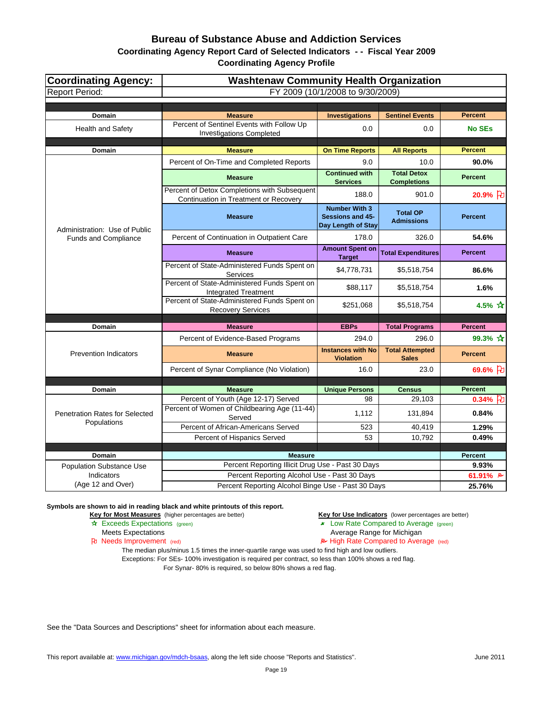## **Coordinating Agency Report Card of Selected Indicators - - Fiscal Year 2009**

**Coordinating Agency Profile**

| <b>Coordinating Agency:</b>                          | <b>Washtenaw Community Health Organization</b>                                        |                                                                       |                                          |                      |
|------------------------------------------------------|---------------------------------------------------------------------------------------|-----------------------------------------------------------------------|------------------------------------------|----------------------|
| <b>Report Period:</b>                                | FY 2009 (10/1/2008 to 9/30/2009)                                                      |                                                                       |                                          |                      |
|                                                      |                                                                                       |                                                                       |                                          |                      |
| Domain                                               | <b>Measure</b>                                                                        | <b>Investigations</b>                                                 | <b>Sentinel Events</b>                   | <b>Percent</b>       |
| <b>Health and Safety</b>                             | Percent of Sentinel Events with Follow Up<br><b>Investigations Completed</b>          | 0.0                                                                   | 0.0                                      | <b>No SEs</b>        |
| Domain                                               | <b>Measure</b>                                                                        | <b>On Time Reports</b>                                                | <b>All Reports</b>                       | <b>Percent</b>       |
|                                                      | Percent of On-Time and Completed Reports                                              | 9.0                                                                   | 10.0                                     | 90.0%                |
|                                                      | <b>Measure</b>                                                                        | <b>Continued with</b><br><b>Services</b>                              | <b>Total Detox</b><br><b>Completions</b> | <b>Percent</b>       |
|                                                      | Percent of Detox Completions with Subsequent<br>Continuation in Treatment or Recovery | 188.0                                                                 | 901.0                                    | 20.9% }              |
| Administration: Use of Public                        | <b>Measure</b>                                                                        | <b>Number With 3</b><br><b>Sessions and 45-</b><br>Day Length of Stay | <b>Total OP</b><br><b>Admissions</b>     | <b>Percent</b>       |
| <b>Funds and Compliance</b>                          | Percent of Continuation in Outpatient Care                                            | 178.0                                                                 | 326.0                                    | 54.6%                |
|                                                      | <b>Measure</b>                                                                        | <b>Amount Spent on</b><br><b>Target</b>                               | <b>Total Expenditures</b>                | <b>Percent</b>       |
|                                                      | Percent of State-Administered Funds Spent on<br>Services                              | \$4,778,731                                                           | \$5,518,754                              | 86.6%                |
|                                                      | Percent of State-Administered Funds Spent on<br><b>Integrated Treatment</b>           | \$88,117                                                              | \$5,518,754                              | 1.6%                 |
|                                                      | Percent of State-Administered Funds Spent on<br><b>Recovery Services</b>              | \$251,068                                                             | \$5,518,754                              | 4.5% $\frac{1}{100}$ |
| Domain                                               | <b>Measure</b>                                                                        | <b>EBPs</b>                                                           | <b>Total Programs</b>                    | <b>Percent</b>       |
|                                                      | Percent of Evidence-Based Programs                                                    | 294.0                                                                 | 296.0                                    | 99.3% $\frac{1}{11}$ |
| <b>Prevention Indicators</b>                         | <b>Measure</b>                                                                        | <b>Instances with No</b><br><b>Violation</b>                          | <b>Total Attempted</b><br><b>Sales</b>   | <b>Percent</b>       |
|                                                      | Percent of Synar Compliance (No Violation)                                            | 16.0                                                                  | 23.0                                     | 69.6% }              |
|                                                      |                                                                                       |                                                                       |                                          |                      |
| <b>Domain</b>                                        | <b>Measure</b>                                                                        | <b>Unique Persons</b>                                                 | <b>Census</b>                            | <b>Percent</b>       |
|                                                      | Percent of Youth (Age 12-17) Served                                                   | 98                                                                    | 29,103                                   | $0.34\%$ 2           |
| <b>Penetration Rates for Selected</b><br>Populations | Percent of Women of Childbearing Age (11-44)<br>Served                                | 1,112                                                                 | 131,894                                  | 0.84%                |
|                                                      | Percent of African-Americans Served                                                   | 523                                                                   | 40,419                                   | 1.29%                |
|                                                      | Percent of Hispanics Served                                                           | 53                                                                    | 10,792                                   | 0.49%                |
| Domain                                               | <b>Measure</b>                                                                        |                                                                       |                                          | Percent              |
| <b>Population Substance Use</b>                      | Percent Reporting Illicit Drug Use - Past 30 Days                                     |                                                                       |                                          | 9.93%                |
| Indicators                                           | Percent Reporting Alcohol Use - Past 30 Days                                          |                                                                       |                                          | 61.91% $\approx$     |
| (Age 12 and Over)                                    | Percent Reporting Alcohol Binge Use - Past 30 Days                                    |                                                                       |                                          | 25.76%               |

**Symbols are shown to aid in reading black and white printouts of this report.**

**Key for Most Measures** (higher percentages are better) **Key for Use Indicators** (lower percentages are better)

- **A** Exceeds Expectations (green) **Low Rate Compared to Average** (green)
- Meets Expectations **Average Range for Michigan**<br> **Average Range for Michigan**<br> **Average Range for Michigan**<br> **Average Range for Michigan**<br> **Average Range for Michigan** 
	- $\blacktriangleright$  High Rate Compared to Average (red)

The median plus/minus 1.5 times the inner-quartile range was used to find high and low outliers.

Exceptions: For SEs- 100% investigation is required per contract, so less than 100% shows a red flag. For Synar- 80% is required, so below 80% shows a red flag.